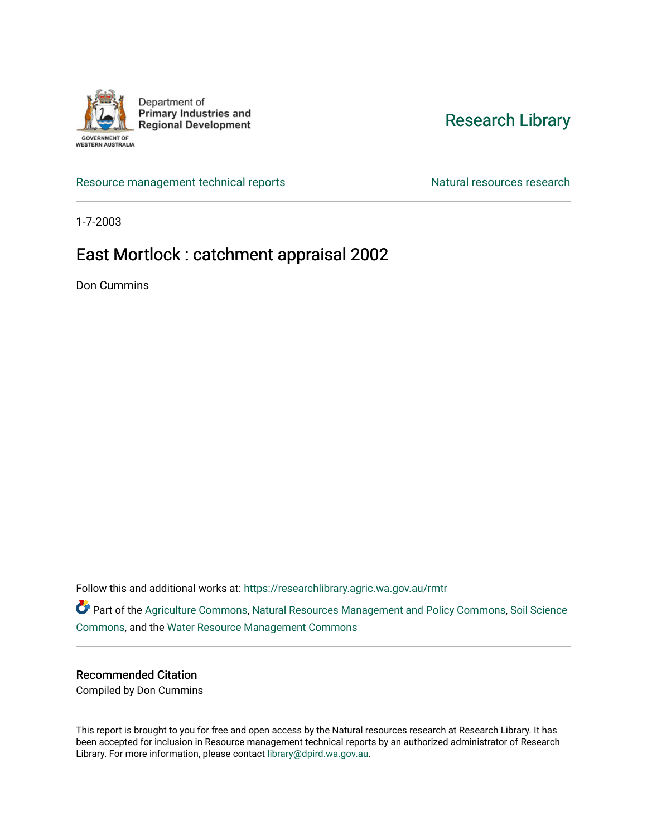

Department of **Primary Industries and Regional Development** 

WESTERN AUSTRALIA

## [Research Library](https://researchlibrary.agric.wa.gov.au/)

[Resource management technical reports](https://researchlibrary.agric.wa.gov.au/rmtr) Natural resources research

1-7-2003

## East Mortlock : catchment appraisal 2002

Don Cummins

Follow this and additional works at: [https://researchlibrary.agric.wa.gov.au/rmtr](https://researchlibrary.agric.wa.gov.au/rmtr?utm_source=researchlibrary.agric.wa.gov.au%2Frmtr%2F226&utm_medium=PDF&utm_campaign=PDFCoverPages) 

Part of the [Agriculture Commons](http://network.bepress.com/hgg/discipline/1076?utm_source=researchlibrary.agric.wa.gov.au%2Frmtr%2F226&utm_medium=PDF&utm_campaign=PDFCoverPages), [Natural Resources Management and Policy Commons,](http://network.bepress.com/hgg/discipline/170?utm_source=researchlibrary.agric.wa.gov.au%2Frmtr%2F226&utm_medium=PDF&utm_campaign=PDFCoverPages) [Soil Science](http://network.bepress.com/hgg/discipline/163?utm_source=researchlibrary.agric.wa.gov.au%2Frmtr%2F226&utm_medium=PDF&utm_campaign=PDFCoverPages)  [Commons](http://network.bepress.com/hgg/discipline/163?utm_source=researchlibrary.agric.wa.gov.au%2Frmtr%2F226&utm_medium=PDF&utm_campaign=PDFCoverPages), and the [Water Resource Management Commons](http://network.bepress.com/hgg/discipline/1057?utm_source=researchlibrary.agric.wa.gov.au%2Frmtr%2F226&utm_medium=PDF&utm_campaign=PDFCoverPages)

#### Recommended Citation

Compiled by Don Cummins

This report is brought to you for free and open access by the Natural resources research at Research Library. It has been accepted for inclusion in Resource management technical reports by an authorized administrator of Research Library. For more information, please contact [library@dpird.wa.gov.au.](mailto:library@dpird.wa.gov.au)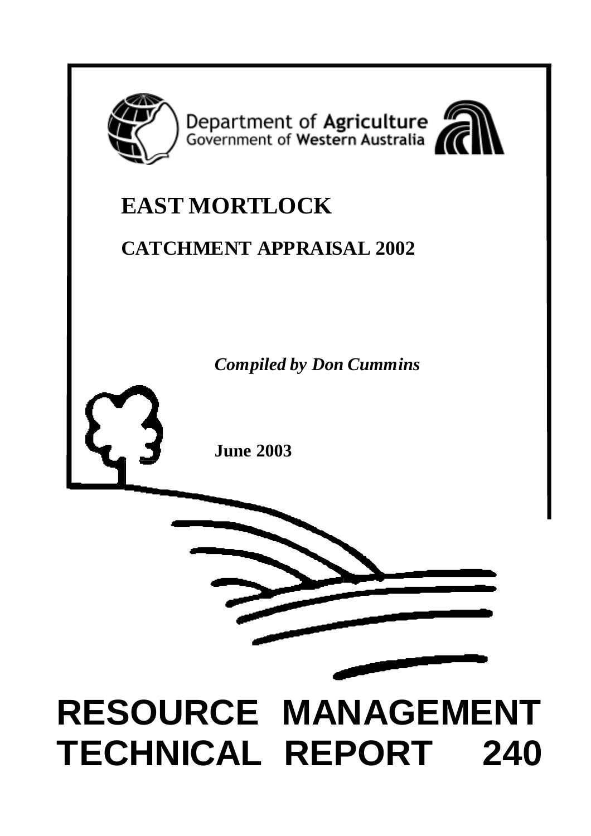

Department of Agriculture<br>Government of Western Australia



## **EAST MORTLOCK**

## **CATCHMENT APPRAISAL 2002**

*Compiled by Don Cummins*

**June 2003**



# **RESOURCE MANAGEMENT TECHNICAL REPORT 240**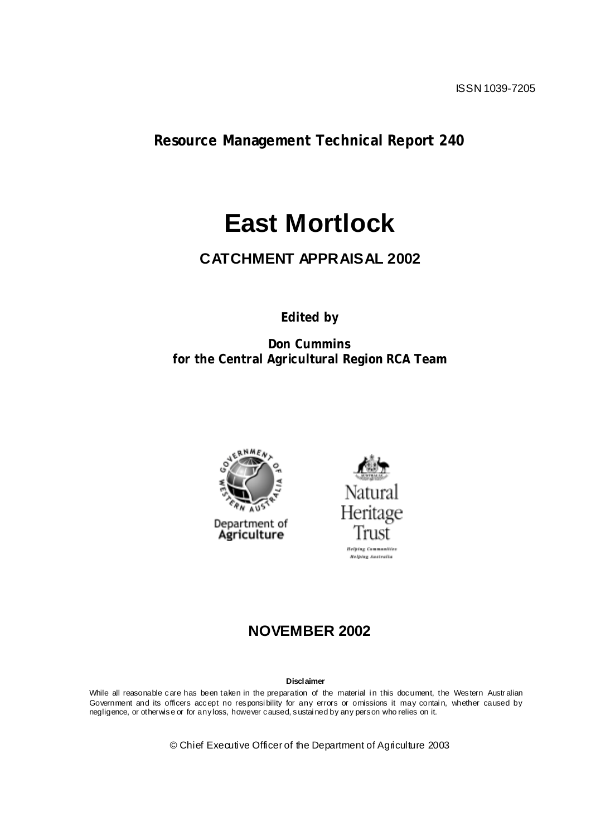**Resource Management Technical Report 240**

## **East Mortlock**

## **CATCHMENT APPRAISAL 2002**

**Edited by**

**Don Cummins for the Central Agricultural Region RCA Team**





## **NOVEMBER 2002**

**Disclaimer**

While all reasonable care has been taken in the preparation of the material in this document, the Western Australian Government and its officers accept no responsi bility for any errors or omissions it may contai n, whether caused by negligence, or otherwise or for any loss, however caused, sustai ned by any person who relies on it.

© Chief Executive Officer of the Department of Agriculture 2003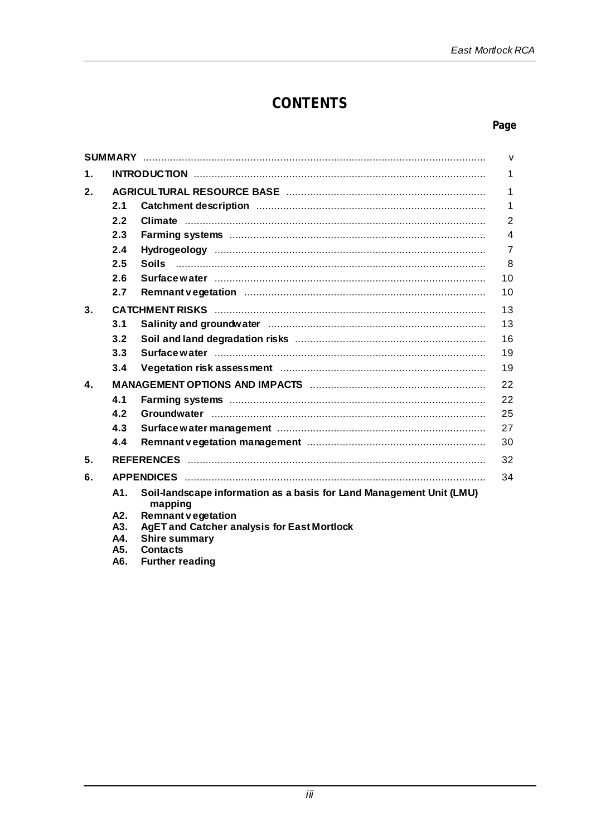## **CONTENTS**

#### Page

|    |            |                                                                                                                | $\mathsf{v}$   |  |  |  |
|----|------------|----------------------------------------------------------------------------------------------------------------|----------------|--|--|--|
| 1. | 1          |                                                                                                                |                |  |  |  |
| 2. |            |                                                                                                                |                |  |  |  |
|    | 2.1        |                                                                                                                | 1              |  |  |  |
|    | 2.2        |                                                                                                                | 2              |  |  |  |
|    | 2.3        |                                                                                                                | 4              |  |  |  |
|    | 2.4        |                                                                                                                | $\overline{7}$ |  |  |  |
|    | 2.5        |                                                                                                                | 8              |  |  |  |
|    | 2.6        | Surface water manufactured with the state was sensitive water with the state water with the state water with t | 10             |  |  |  |
|    | 2.7        |                                                                                                                | 10             |  |  |  |
| 3. |            |                                                                                                                | 13             |  |  |  |
|    | 3.1        |                                                                                                                | 13             |  |  |  |
|    | 3.2        |                                                                                                                | 16             |  |  |  |
|    | 3.3        |                                                                                                                | 19             |  |  |  |
|    | 3.4        |                                                                                                                | 19             |  |  |  |
| 4. |            |                                                                                                                | 22             |  |  |  |
|    | 4.1        |                                                                                                                | 22             |  |  |  |
|    | 4.2        |                                                                                                                | 25             |  |  |  |
|    | 4.3        |                                                                                                                | 27             |  |  |  |
|    | 4.4        |                                                                                                                | 30             |  |  |  |
| 5. |            |                                                                                                                | 32             |  |  |  |
| 6. |            |                                                                                                                | 34             |  |  |  |
|    | A1.        | Soil-landscape information as a basis for Land Management Unit (LMU)<br>mapping                                |                |  |  |  |
|    | A2.        | <b>Remnant vegetation</b>                                                                                      |                |  |  |  |
|    | A3.<br>A4. | <b>AgET and Catcher analysis for East Mortlock</b><br><b>Shire summary</b>                                     |                |  |  |  |
|    | A5.        | <b>Contacts</b>                                                                                                |                |  |  |  |
|    |            | $\sim$ $\sim$ $\sim$                                                                                           |                |  |  |  |

A6. Further reading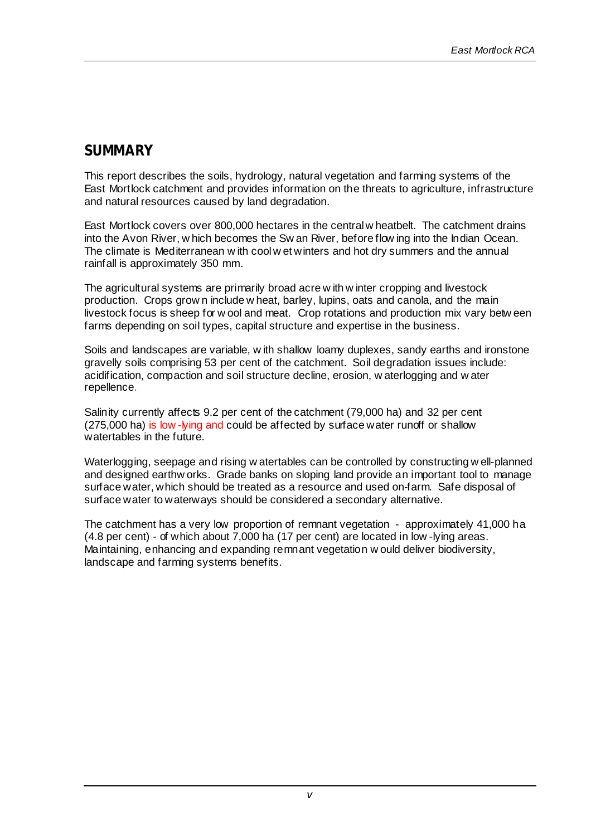## **SUMMARY**

This report describes the soils, hydrology, natural vegetation and farming systems of the East Mortlock catchment and provides information on the threats to agriculture, infrastructure and natural resources caused by land degradation.

East Mortlock covers over 800,000 hectares in the central w heatbelt. The catchment drains into the Avon River, w hich becomes the Sw an River, before flow ing into the Indian Ocean. The climate is Mediterranean w ith cool w et winters and hot dry summers and the annual rainfall is approximately 350 mm.

The agricultural systems are primarily broad acre w ith w inter cropping and livestock production. Crops grow n include w heat, barley, lupins, oats and canola, and the main livestock focus is sheep for w ool and meat. Crop rotations and production mix vary betw een farms depending on soil types, capital structure and expertise in the business.

Soils and landscapes are variable, w ith shallow loamy duplexes, sandy earths and ironstone gravelly soils comprising 53 per cent of the catchment. Soil degradation issues include: acidification, compaction and soil structure decline, erosion, w aterlogging and w ater repellence.

Salinity currently affects 9.2 per cent of the catchment (79,000 ha) and 32 per cent (275,000 ha) is low -lying and could be affected by surface water runoff or shallow watertables in the future.

Waterlogging, seepage and rising w atertables can be controlled by constructing w ell-planned and designed earthw orks. Grade banks on sloping land provide an important tool to manage surface water, which should be treated as a resource and used on-farm. Safe disposal of surface water to waterways should be considered a secondary alternative.

The catchment has a very low proportion of remnant vegetation - approximately 41,000 ha (4.8 per cent) - of which about 7,000 ha (17 per cent) are located in low -lying areas. Maintaining, enhancing and expanding remnant vegetation w ould deliver biodiversity, landscape and farming systems benefits.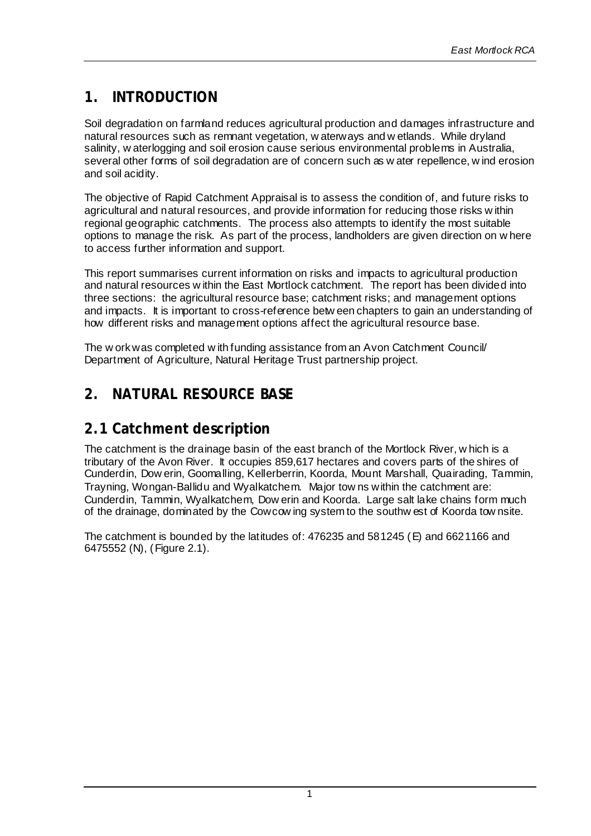## **1. INTRODUCTION**

Soil degradation on farmland reduces agricultural production and damages infrastructure and natural resources such as remnant vegetation, w aterways and w etlands. While dryland salinity, w aterlogging and soil erosion cause serious environmental problems in Australia, several other forms of soil degradation are of concern such as w ater repellence, w ind erosion and soil acidity.

The objective of Rapid Catchment Appraisal is to assess the condition of, and future risks to agricultural and natural resources, and provide information for reducing those risks w ithin regional geographic catchments. The process also attempts to identify the most suitable options to manage the risk. As part of the process, landholders are given direction on w here to access further information and support.

This report summarises current information on risks and impacts to agricultural production and natural resources w ithin the East Mortlock catchment. The report has been divided into three sections: the agricultural resource base; catchment risks; and management options and impacts. It is important to cross-reference betw een chapters to gain an understanding of how different risks and management options affect the agricultural resource base.

The w ork was completed w ith funding assistance from an Avon Catchment Council/ Department of Agriculture, Natural Heritage Trust partnership project.

## **2. NATURAL RESOURCE BASE**

## **2.1 Catchment description**

The catchment is the drainage basin of the east branch of the Mortlock River, w hich is a tributary of the Avon River. It occupies 859,617 hectares and covers parts of the shires of Cunderdin, Dow erin, Goomalling, Kellerberrin, Koorda, Mount Marshall, Quairading, Tammin, Trayning, Wongan-Ballidu and Wyalkatchem. Major tow ns within the catchment are: Cunderdin, Tammin, Wyalkatchem, Dow erin and Koorda. Large salt lake chains form much of the drainage, dominated by the Cowcow ing system to the southw est of Koorda tow nsite.

The catchment is bounded by the latitudes of: 476235 and 581245 (E) and 6621166 and 6475552 (N), (Figure 2.1).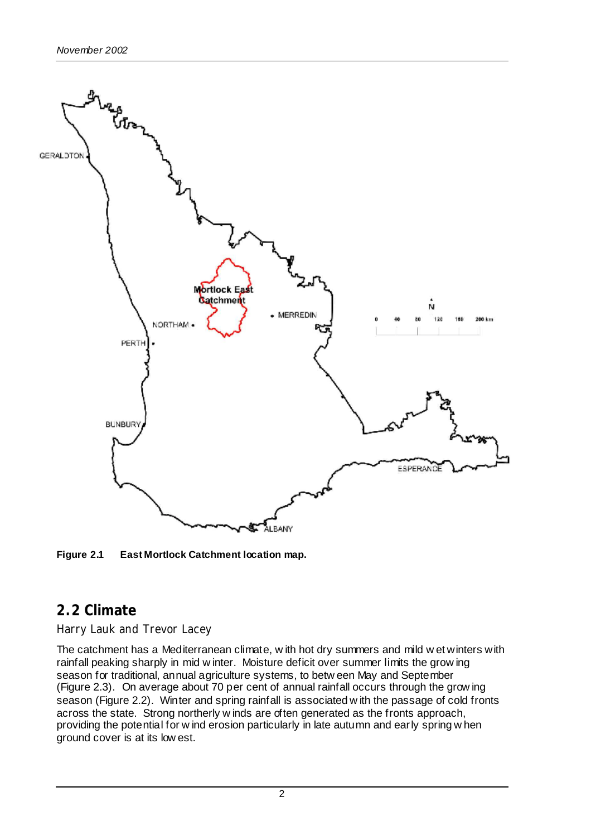

**Figure 2.1 East Mortlock Catchment location map.**

## **2.2 Climate**

#### *Harry Lauk and Trevor Lacey*

The catchment has a Mediterranean climate, w ith hot dry summers and mild w et winters with rainfall peaking sharply in mid w inter. Moisture deficit over summer limits the grow ing season for traditional, annual agriculture systems, to betw een May and September (Figure 2.3). On average about 70 per cent of annual rainfall occurs through the grow ing season (Figure 2.2). Winter and spring rainfall is associated w ith the passage of cold fronts across the state. Strong northerly w inds are often generated as the fronts approach, providing the potential for w ind erosion particularly in late autumn and early spring w hen ground cover is at its low est.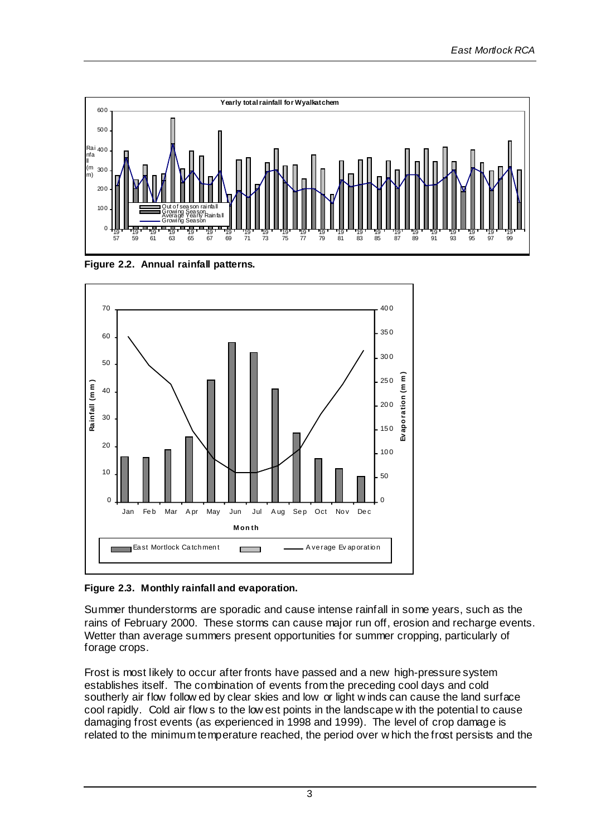





#### **Figure 2.3. Monthly rainfall and evaporation.**

Summer thunderstorms are sporadic and cause intense rainfall in some years, such as the rains of February 2000. These storms can cause major run off, erosion and recharge events. Wetter than average summers present opportunities for summer cropping, particularly of forage crops.

Frost is most likely to occur after fronts have passed and a new high-pressure system establishes itself. The combination of events from the preceding cool days and cold southerly air flow follow ed by clear skies and low or light w inds can cause the land surface cool rapidly. Cold air flow s to the low est points in the landscape w ith the potential to cause damaging frost events (as experienced in 1998 and 1999). The level of crop damage is related to the minimum temperature reached, the period over w hich the frost persists and the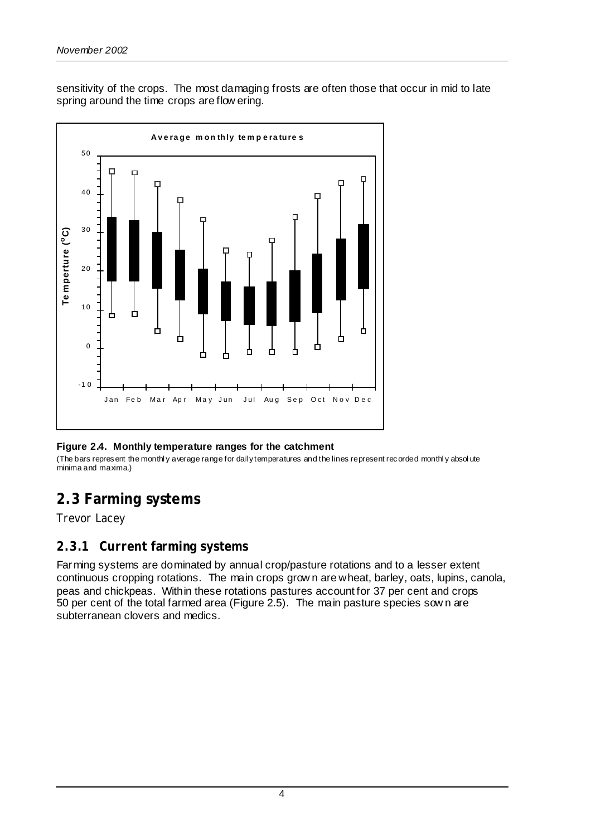sensitivity of the crops. The most damaging frosts are often those that occur in mid to late spring around the time crops are flow ering.



#### **Figure 2.4. Monthly temperature ranges for the catchment**

(The bars represent the monthl y average range for dail y temperatures and the lines represent recorded monthl y absol ute minima and maxima.)

## **2.3 Farming systems**

*Trevor Lacey*

#### **2.3.1 Current farming systems**

Farming systems are dominated by annual crop/pasture rotations and to a lesser extent continuous cropping rotations. The main crops grow n are wheat, barley, oats, lupins, canola, peas and chickpeas. Within these rotations pastures account for 37 per cent and crops 50 per cent of the total farmed area (Figure 2.5). The main pasture species sow n are subterranean clovers and medics.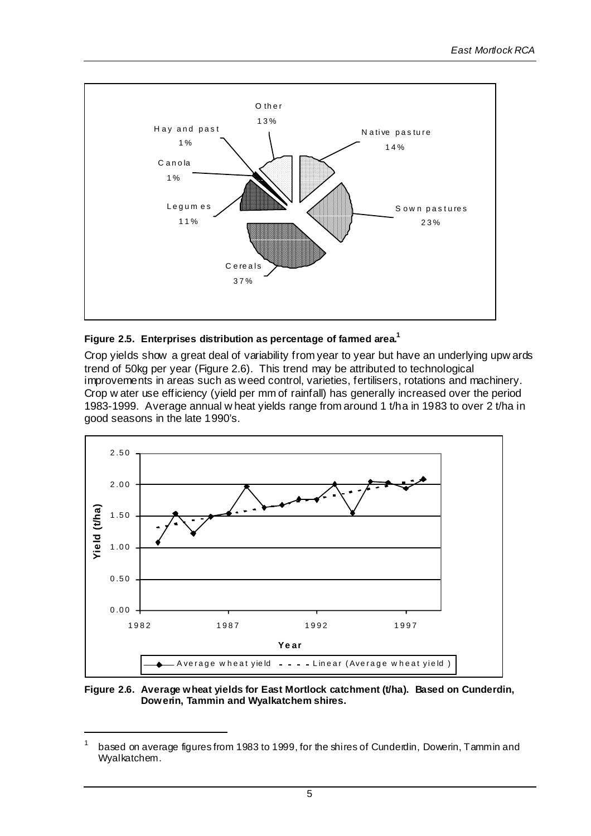

#### **Figure 2.5. Enterprises distribution as percentage of farmed area.1**

Crop yields show a great deal of variability from year to year but have an underlying upw ards trend of 50kg per year (Figure 2.6). This trend may be attributed to technological improvements in areas such as weed control, varieties, fertilisers, rotations and machinery. Crop w ater use efficiency (yield per mm of rainfall) has generally increased over the period 1983-1999. Average annual w heat yields range from around 1 t/ha in 1983 to over 2 t/ha in good seasons in the late 1990's.



**Figure 2.6. Average wheat yields for East Mortlock catchment (t/ha). Based on Cunderdin, Dowerin, Tammin and Wyalkatchem shires.**

based on average figures from 1983 to 1999, for the shires of Cunderdin, Dowerin, Tammin and Wyalkatchem.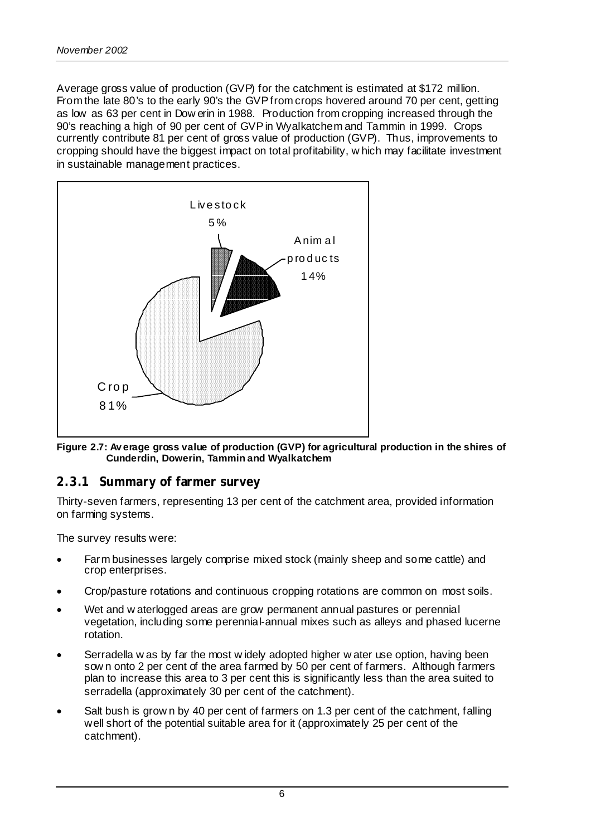Average gross value of production (GVP) for the catchment is estimated at \$172 million. From the late 80's to the early 90's the GVP from crops hovered around 70 per cent, getting as low as 63 per cent in Dow erin in 1988. Production from cropping increased through the 90's reaching a high of 90 per cent of GVP in Wyalkatchem and Tammin in 1999. Crops currently contribute 81 per cent of gross value of production (GVP). Thus, improvements to cropping should have the biggest impact on total profitability, w hich may facilitate investment in sustainable management practices.



**Figure 2.7: Av erage gross value of production (GVP) for agricultural production in the shires of Cunderdin, Dowerin, Tammin and Wyalkatchem**

#### **2.3.1 Summary of farmer survey**

Thirty-seven farmers, representing 13 per cent of the catchment area, provided information on farming systems.

The survey results were:

- Farm businesses largely comprise mixed stock (mainly sheep and some cattle) and crop enterprises.
- Crop/pasture rotations and continuous cropping rotations are common on most soils.
- Wet and w aterlogged areas are grow permanent annual pastures or perennial vegetation, including some perennial-annual mixes such as alleys and phased lucerne rotation.
- Serradella w as by far the most w idely adopted higher w ater use option, having been sow n onto 2 per cent of the area farmed by 50 per cent of farmers. Although farmers plan to increase this area to 3 per cent this is significantly less than the area suited to serradella (approximately 30 per cent of the catchment).
- Salt bush is grow n by 40 per cent of farmers on 1.3 per cent of the catchment, falling well short of the potential suitable area for it (approximately 25 per cent of the catchment).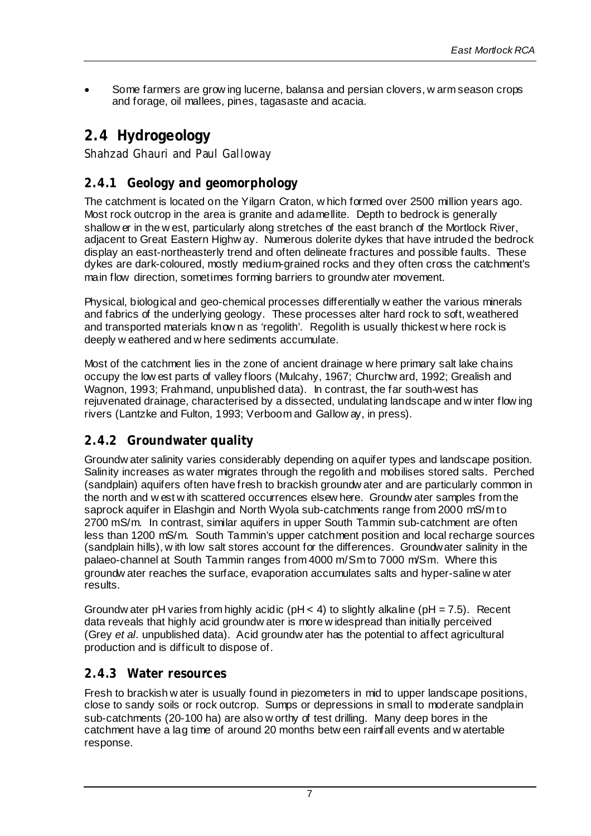• Some farmers are grow ing lucerne, balansa and persian clovers, w arm season crops and forage, oil mallees, pines, tagasaste and acacia.

## **2.4 Hydrogeology**

*Shahzad Ghauri and Paul Galloway*

## **2.4.1 Geology and geomorphology**

The catchment is located on the Yilgarn Craton, w hich formed over 2500 million years ago. Most rock outcrop in the area is granite and adamellite. Depth to bedrock is generally shallow er in the w est, particularly along stretches of the east branch of the Mortlock River, adjacent to Great Eastern Highw ay. Numerous dolerite dykes that have intruded the bedrock display an east-northeasterly trend and often delineate fractures and possible faults. These dykes are dark-coloured, mostly medium-grained rocks and they often cross the catchment's main flow direction, sometimes forming barriers to groundw ater movement.

Physical, biological and geo-chemical processes differentially w eather the various minerals and fabrics of the underlying geology. These processes alter hard rock to soft, weathered and transported materials know n as 'regolith'. Regolith is usually thickest w here rock is deeply w eathered and w here sediments accumulate.

Most of the catchment lies in the zone of ancient drainage w here primary salt lake chains occupy the low est parts of valley floors (Mulcahy, 1967; Churchw ard, 1992; Grealish and Wagnon, 1993; Frahmand, unpublished data). In contrast, the far south-west has rejuvenated drainage, characterised by a dissected, undulating landscape and w inter flow ing rivers (Lantzke and Fulton, 1993; Verboom and Gallow ay, in press).

#### **2.4.2 Groundwater quality**

Groundw ater salinity varies considerably depending on aquifer types and landscape position. Salinity increases as water migrates through the regolith and mobilises stored salts. Perched (sandplain) aquifers often have fresh to brackish groundw ater and are particularly common in the north and w est w ith scattered occurrences elsew here. Groundw ater samples from the saprock aquifer in Elashgin and North Wyola sub-catchments range from 2000 mS/m to 2700 mS/m. In contrast, similar aquifers in upper South Tammin sub-catchment are often less than 1200 mS/m. South Tammin's upper catchment position and local recharge sources (sandplain hills), w ith low salt stores account for the differences. Groundwater salinity in the palaeo-channel at South Tammin ranges from 4000 m/Sm to 7000 m/Sm. Where this groundw ater reaches the surface, evaporation accumulates salts and hyper-saline w ater results.

Groundw ater pH varies from highly acidic ( $pH < 4$ ) to slightly alkaline ( $pH = 7.5$ ). Recent data reveals that highly acid groundw ater is more w idespread than initially perceived (Grey *et al.* unpublished data). Acid groundw ater has the potential to affect agricultural production and is difficult to dispose of.

#### **2.4.3 Water resources**

Fresh to brackish w ater is usually found in piezometers in mid to upper landscape positions, close to sandy soils or rock outcrop. Sumps or depressions in small to moderate sandplain sub-catchments (20-100 ha) are also w orthy of test drilling. Many deep bores in the catchment have a lag time of around 20 months betw een rainfall events and w atertable response.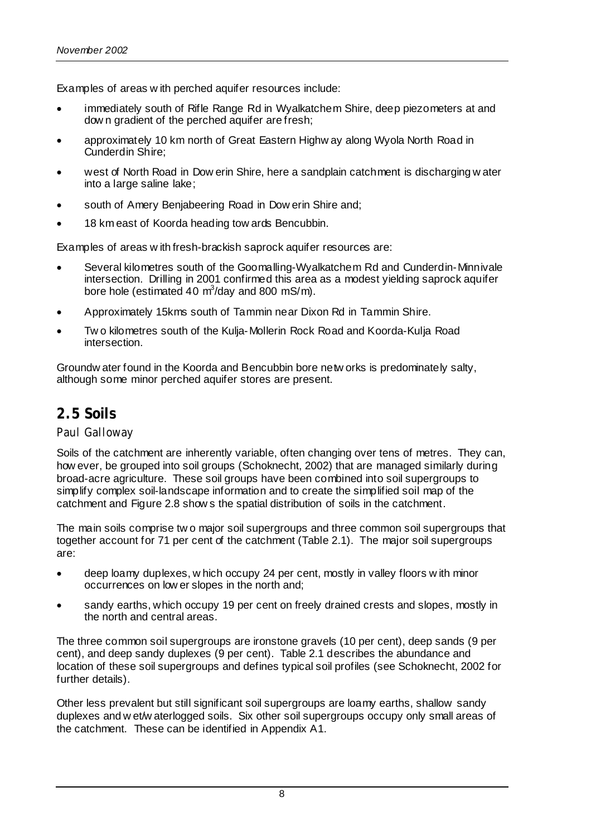Examples of areas w ith perched aquifer resources include:

- immediately south of Rifle Range Rd in Wyalkatchem Shire, deep piezometers at and dow n gradient of the perched aquifer are fresh;
- approximately 10 km north of Great Eastern Highw ay along Wyola North Road in Cunderdin Shire;
- west of North Road in Dow erin Shire, here a sandplain catchment is discharging w ater into a large saline lake;
- south of Amery Benjabeering Road in Dow erin Shire and;
- 18 km east of Koorda heading tow ards Bencubbin.

Examples of areas w ith fresh-brackish saprock aquifer resources are:

- Several kilometres south of the Goomalling-Wyalkatchem Rd and Cunderdin-Minnivale intersection. Drilling in 2001 confirmed this area as a modest yielding saprock aquifer bore hole (estimated 40  $\text{m}^3$ /day and 800 mS/m).
- Approximately 15kms south of Tammin near Dixon Rd in Tammin Shire.
- Tw o kilometres south of the Kulja-Mollerin Rock Road and Koorda-Kulja Road intersection.

Groundw ater found in the Koorda and Bencubbin bore netw orks is predominately salty, although some minor perched aquifer stores are present.

## **2.5 Soils**

#### *Paul Galloway*

Soils of the catchment are inherently variable, often changing over tens of metres. They can, how ever, be grouped into soil groups (Schoknecht, 2002) that are managed similarly during broad-acre agriculture. These soil groups have been combined into soil supergroups to simplify complex soil-landscape information and to create the simplified soil map of the catchment and Figure 2.8 show s the spatial distribution of soils in the catchment.

The main soils comprise tw o major soil supergroups and three common soil supergroups that together account for 71 per cent of the catchment (Table 2.1). The major soil supergroups are:

- deep loamy duplexes, w hich occupy 24 per cent, mostly in valley floors w ith minor occurrences on low er slopes in the north and;
- sandy earths, which occupy 19 per cent on freely drained crests and slopes, mostly in the north and central areas.

The three common soil supergroups are ironstone gravels (10 per cent), deep sands (9 per cent), and deep sandy duplexes (9 per cent). Table 2.1 describes the abundance and location of these soil supergroups and defines typical soil profiles (see Schoknecht, 2002 for further details).

Other less prevalent but still significant soil supergroups are loamy earths, shallow sandy duplexes and w et/w aterlogged soils. Six other soil supergroups occupy only small areas of the catchment. These can be identified in Appendix A1.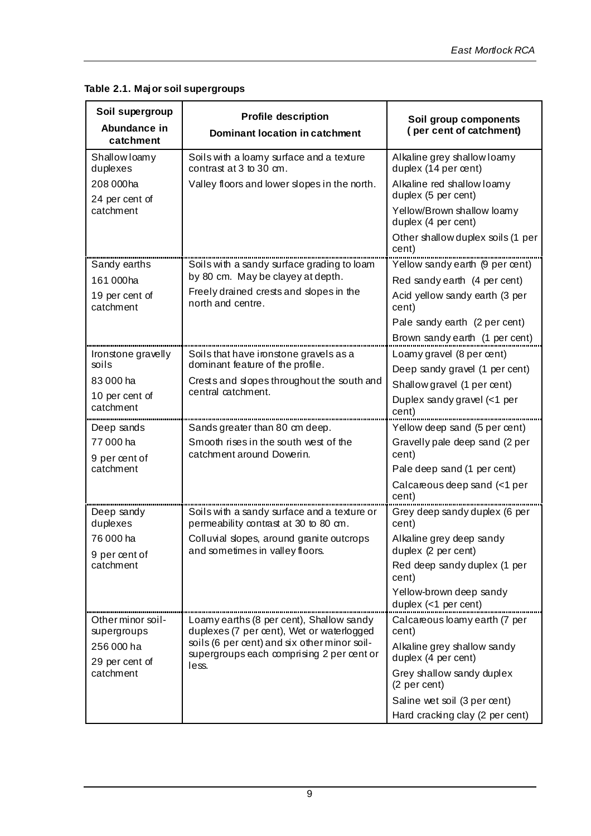**Table 2.1. Major soil supergroups**

| Soil supergroup<br>Abundance in<br>catchment | <b>Profile description</b><br>Dominant location in catchment                                         | Soil group components<br>(per cent of catchment)    |  |
|----------------------------------------------|------------------------------------------------------------------------------------------------------|-----------------------------------------------------|--|
| Shallow loamy<br>duplexes                    | Soils with a loamy surface and a texture<br>contrast at 3 to 30 cm.                                  | Alkaline grey shallow loamy<br>duplex (14 per cent) |  |
| 208 000ha<br>24 per cent of                  | Valley floors and lower slopes in the north.                                                         | Alkaline red shallow loamy<br>duplex (5 per cent)   |  |
| catchment                                    |                                                                                                      | Yellow/Brown shallow loamy<br>duplex (4 per cent)   |  |
|                                              |                                                                                                      | Other shallow duplex soils (1 per<br>cent)          |  |
| Sandy earths                                 | Soils with a sandy surface grading to loam                                                           | Yellow sandy earth (9 per cent)                     |  |
| 161 000ha                                    | by 80 cm. May be clayey at depth.                                                                    | Red sandy earth (4 per cent)                        |  |
| 19 per cent of<br>catchment                  | Freely drained crests and slopes in the<br>north and centre.                                         | Acid yellow sandy earth (3 per<br>cent)             |  |
|                                              |                                                                                                      | Pale sandy earth (2 per cent)                       |  |
|                                              |                                                                                                      | Brown sandy earth (1 per cent)                      |  |
| Ironstone gravelly                           | Soils that have ironstone gravels as a                                                               | Loamy gravel (8 per cent)                           |  |
| soils                                        | dominant feature of the profile.<br>Crests and slopes throughout the south and<br>central catchment. | Deep sandy gravel (1 per cent)                      |  |
| 83 000 ha                                    |                                                                                                      | Shallow gravel (1 per cent)                         |  |
| 10 per cent of<br>catchment                  |                                                                                                      | Duplex sandy gravel (<1 per<br>cent)                |  |
| Deep sands                                   | Sands greater than 80 cm deep.                                                                       | Yellow deep sand (5 per cent)                       |  |
| 77 000 ha<br>9 per œnt of                    | Smooth rises in the south west of the<br>catchment around Dowerin.                                   | Gravelly pale deep sand (2 per<br>cent)             |  |
| catchment                                    |                                                                                                      | Pale deep sand (1 per cent)                         |  |
|                                              |                                                                                                      | Calcareous deep sand (<1 per<br>cent)               |  |
| Deep sandy<br>duplexes                       | Soils with a sandy surface and a texture or<br>permeability contrast at 30 to 80 cm.                 | Grey deep sandy duplex (6 per<br>cent)              |  |
| 76 000 ha                                    | Colluvial slopes, around granite outcrops<br>and sometimes in valley floors.                         | Alkaline grey deep sandy<br>duplex (2 per cent)     |  |
| 9 per cent of<br>catchment                   |                                                                                                      | Red deep sandy duplex (1 per<br>cent)               |  |
|                                              |                                                                                                      | Yellow-brown deep sandy<br>duplex $(<1$ per cent)   |  |
| Other minor soil-<br>supergroups             | Loamy earths (8 per cent), Shallow sandy<br>duplexes (7 per cent), Wet or waterlogged                | Calcareous loamy earth (7 per<br>cent)              |  |
| 256 000 ha<br>29 per cent of                 | soils (6 per cent) and six other minor soil-<br>supergroups each comprising 2 per cent or            | Alkaline grey shallow sandy<br>duplex (4 per cent)  |  |
| catchment                                    | less.                                                                                                | Grey shallow sandy duplex<br>(2 per cent)           |  |
|                                              |                                                                                                      | Saline wet soil (3 per cent)                        |  |
|                                              |                                                                                                      | Hard cracking clay (2 per cent)                     |  |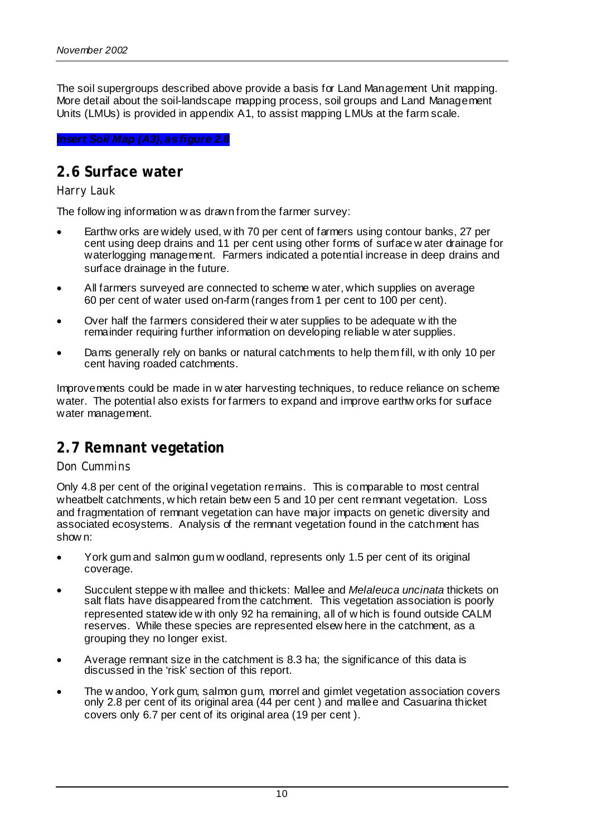The soil supergroups described above provide a basis for Land Management Unit mapping. More detail about the soil-landscape mapping process, soil groups and Land Management Units (LMUs) is provided in appendix A1, to assist mapping LMUs at the farm scale.

#### *Insert Soil Map (A3), as figure 2.8*

#### **2.6 Surface water**

#### *Harry Lauk*

The follow ing information w as drawn from the farmer survey:

- Earthw orks are widely used, w ith 70 per cent of farmers using contour banks, 27 per cent using deep drains and 11 per cent using other forms of surface w ater drainage for waterlogging management. Farmers indicated a potential increase in deep drains and surface drainage in the future.
- All farmers surveyed are connected to scheme w ater, which supplies on average 60 per cent of water used on-farm (ranges from 1 per cent to 100 per cent).
- Over half the farmers considered their w ater supplies to be adequate w ith the remainder requiring further information on developing reliable w ater supplies.
- Dams generally rely on banks or natural catchments to help them fill, w ith only 10 per cent having roaded catchments.

Improvements could be made in w ater harvesting techniques, to reduce reliance on scheme water. The potential also exists for farmers to expand and improve earthw orks for surface water management.

## **2.7 Remnant vegetation**

#### *Don Cummins*

Only 4.8 per cent of the original vegetation remains. This is comparable to most central wheatbelt catchments, w hich retain betw een 5 and 10 per cent remnant vegetation. Loss and fragmentation of remnant vegetation can have major impacts on genetic diversity and associated ecosystems. Analysis of the remnant vegetation found in the catchment has show n:

- York gum and salmon gum w oodland, represents only 1.5 per cent of its original coverage.
- Succulent steppe w ith mallee and thickets: Mallee and *Melaleuca uncinata* thickets on salt flats have disappeared from the catchment. This vegetation association is poorly represented statew ide w ith only 92 ha remaining, all of w hich is found outside CALM reserves. While these species are represented elsew here in the catchment, as a grouping they no longer exist.
- Average remnant size in the catchment is 8.3 ha; the significance of this data is discussed in the 'risk' section of this report.
- The w andoo, York gum, salmon gum, morrel and gimlet vegetation association covers only 2.8 per cent of its original area (44 per cent ) and mallee and Casuarina thicket covers only 6.7 per cent of its original area (19 per cent ).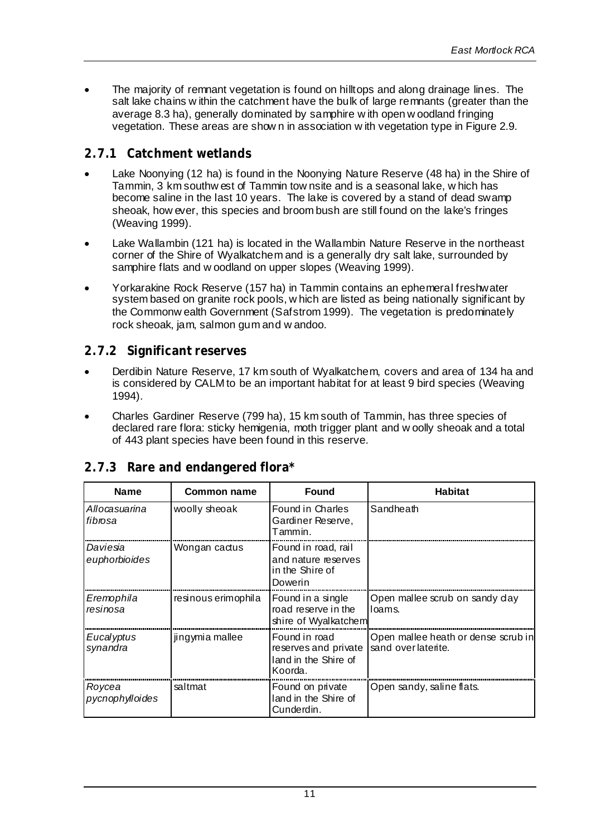• The majority of remnant vegetation is found on hilltops and along drainage lines. The salt lake chains w ithin the catchment have the bulk of large remnants (greater than the average 8.3 ha), generally dominated by samphire w ith open w oodland fringing vegetation. These areas are show n in association w ith vegetation type in Figure 2.9.

#### **2.7.1 Catchment wetlands**

- Lake Noonying (12 ha) is found in the Noonying Nature Reserve (48 ha) in the Shire of Tammin, 3 km southw est of Tammin tow nsite and is a seasonal lake, w hich has become saline in the last 10 years. The lake is covered by a stand of dead swamp sheoak, how ever, this species and broom bush are still found on the lake's fringes (Weaving 1999).
- Lake Wallambin (121 ha) is located in the Wallambin Nature Reserve in the northeast corner of the Shire of Wyalkatchem and is a generally dry salt lake, surrounded by samphire flats and w oodland on upper slopes (Weaving 1999).
- Yorkarakine Rock Reserve (157 ha) in Tammin contains an ephemeral freshwater system based on granite rock pools, w hich are listed as being nationally significant by the Commonw ealth Government (Safstrom 1999). The vegetation is predominately rock sheoak, jam, salmon gum and w andoo.

#### **2.7.2 Significant reserves**

- Derdibin Nature Reserve, 17 km south of Wyalkatchem, covers and area of 134 ha and is considered by CALM to be an important habitat for at least 9 bird species (Weaving 1994).
- Charles Gardiner Reserve (799 ha), 15 km south of Tammin, has three species of declared rare flora: sticky hemigenia, moth trigger plant and w oolly sheoak and a total of 443 plant species have been found in this reserve.

| <b>Name</b>               | Common name         | <b>Found</b>                                                             | <b>Habitat</b>                                            |
|---------------------------|---------------------|--------------------------------------------------------------------------|-----------------------------------------------------------|
| Allocasuarina<br>fibrosa  | woolly sheoak       | Found in Charles<br>Gardiner Reserve,<br>Tammin.                         | Sandheath                                                 |
| Daviesia<br>euphorbioides | Wongan cactus       | Found in road, rail<br>and nature reserves<br>in the Shire of<br>Dowerin |                                                           |
| Eremophila<br>resinosa    | resinous erimophila | Found in a single<br>road reserve in the<br>shire of Wyalkatchem         | Open mallee scrub on sandy day<br>loams.                  |
| Eucalyptus<br>synandra    | jingymia mallee     | Found in road<br>reserves and private<br>land in the Shire of<br>Koorda. | Open mallee heath or dense scrub in<br>sand overlaterite. |
| Roycea<br>pycnophylloides | saltmat             | Found on private<br>land in the Shire of<br>Cunderdin.                   | Open sandy, saline flats.                                 |

#### **2.7.3 Rare and endangered flora\***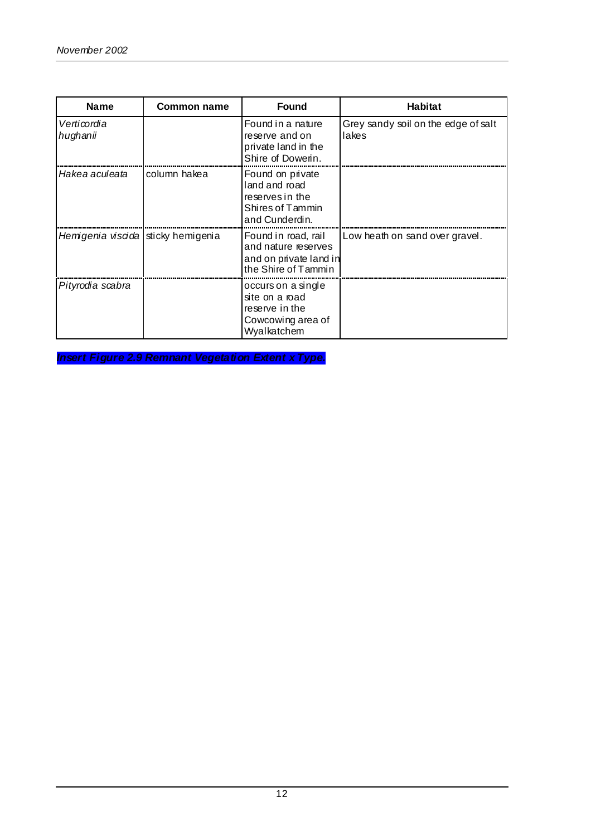| <b>Name</b>                        | Common name  | <b>Found</b>                                                                                | <b>Habitat</b>                               |
|------------------------------------|--------------|---------------------------------------------------------------------------------------------|----------------------------------------------|
| Verticordia<br>hughanii            |              | Found in a nature<br>reserve and on<br>private land in the<br>Shire of Dowerin.             | Grey sandy soil on the edge of salt<br>lakes |
| Hakea aculeata                     | column hakea | Found on private<br>land and road<br>reserves in the<br>Shires of Tammin<br>and Cunderdin.  |                                              |
| Hemigenia viscida sticky hemigenia |              | Found in road, rail<br>and nature reserves<br>and on private land in<br>the Shire of Tammin | Low heath on sand over gravel.               |
| Pityrodia scabra                   |              | occurs on a single<br>site on a road<br>reserve in the<br>Cowcowing area of<br>Wyalkatchem  |                                              |

*Insert Figure 2.9 Remnant Vegetation Extent x Type.*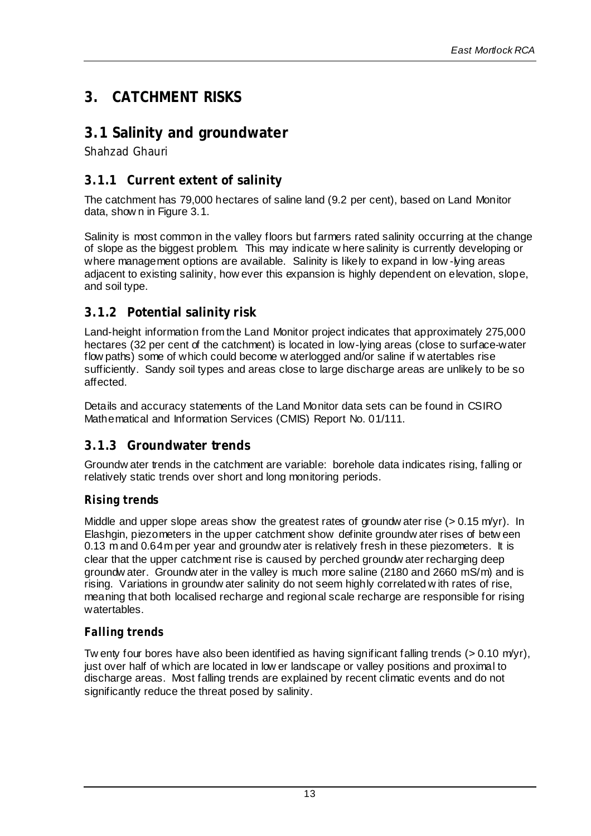## **3. CATCHMENT RISKS**

## **3.1 Salinity and groundwater**

*Shahzad Ghauri*

#### **3.1.1 Current extent of salinity**

The catchment has 79,000 hectares of saline land (9.2 per cent), based on Land Monitor data, show n in Figure 3.1.

Salinity is most common in the valley floors but farmers rated salinity occurring at the change of slope as the biggest problem. This may indicate w here salinity is currently developing or where management options are available. Salinity is likely to expand in low -lying areas adjacent to existing salinity, how ever this expansion is highly dependent on elevation, slope, and soil type.

#### **3.1.2 Potential salinity risk**

Land-height information from the Land Monitor project indicates that approximately 275,000 hectares (32 per cent of the catchment) is located in low-lying areas (close to surface-water flow paths) some of which could become w aterlogged and/or saline if w atertables rise sufficiently. Sandy soil types and areas close to large discharge areas are unlikely to be so affected.

Details and accuracy statements of the Land Monitor data sets can be found in CSIRO Mathematical and Information Services (CMIS) Report No. 01/111.

#### **3.1.3 Groundwater trends**

Groundw ater trends in the catchment are variable: borehole data indicates rising, falling or relatively static trends over short and long monitoring periods.

#### *Rising trends*

Middle and upper slope areas show the greatest rates of groundw ater rise  $(> 0.15 \text{ m/yr})$ . In Elashgin, piezometers in the upper catchment show definite groundw ater rises of betw een 0.13 m and 0.64m per year and groundw ater is relatively fresh in these piezometers. It is clear that the upper catchment rise is caused by perched groundw ater recharging deep groundw ater. Groundw ater in the valley is much more saline (2180 and 2660 mS/m) and is rising. Variations in groundw ater salinity do not seem highly correlated w ith rates of rise, meaning that both localised recharge and regional scale recharge are responsible for rising watertables.

#### *Falling trends*

Tw enty four bores have also been identified as having significant falling trends ( $> 0.10$  m/yr), just over half of which are located in low er landscape or valley positions and proximal to discharge areas. Most falling trends are explained by recent climatic events and do not significantly reduce the threat posed by salinity.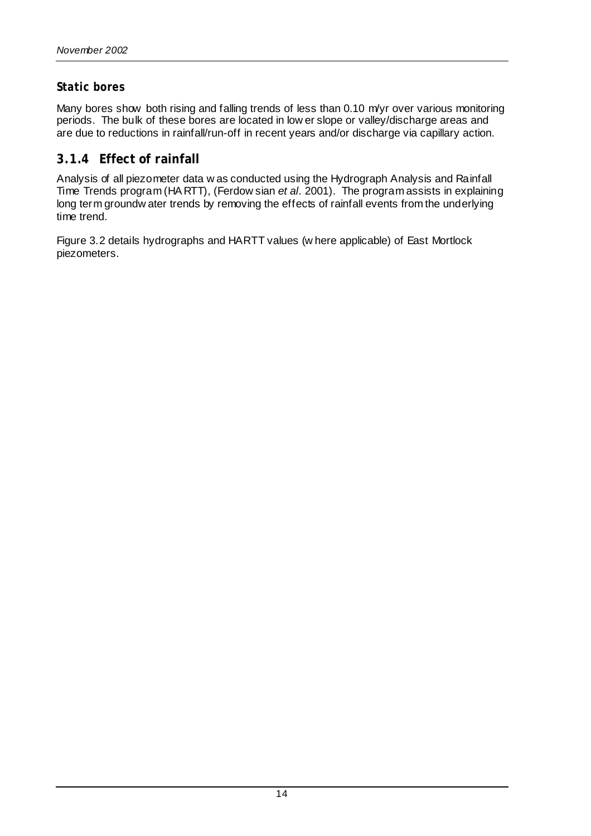#### *Static bores*

Many bores show both rising and falling trends of less than  $0.10$  m/yr over various monitoring periods. The bulk of these bores are located in low er slope or valley/discharge areas and are due to reductions in rainfall/run-off in recent years and/or discharge via capillary action.

#### **3.1.4 Effect of rainfall**

Analysis of all piezometer data w as conducted using the Hydrograph Analysis and Rainfall Time Trends program (HA RTT), (Ferdow sian *et al.* 2001). The program assists in explaining long term groundw ater trends by removing the effects of rainfall events from the underlying time trend.

Figure 3.2 details hydrographs and HARTT values (w here applicable) of East Mortlock piezometers.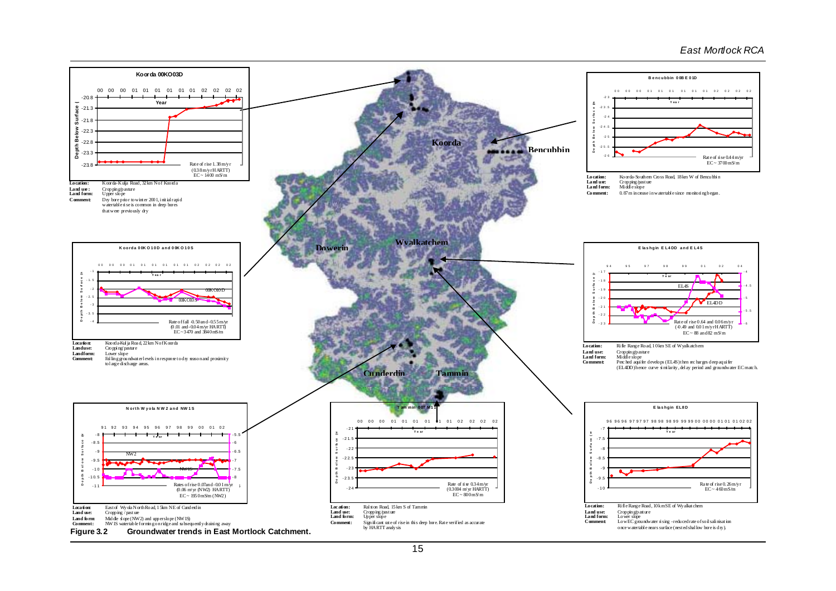#### *East Mortlock RCA*

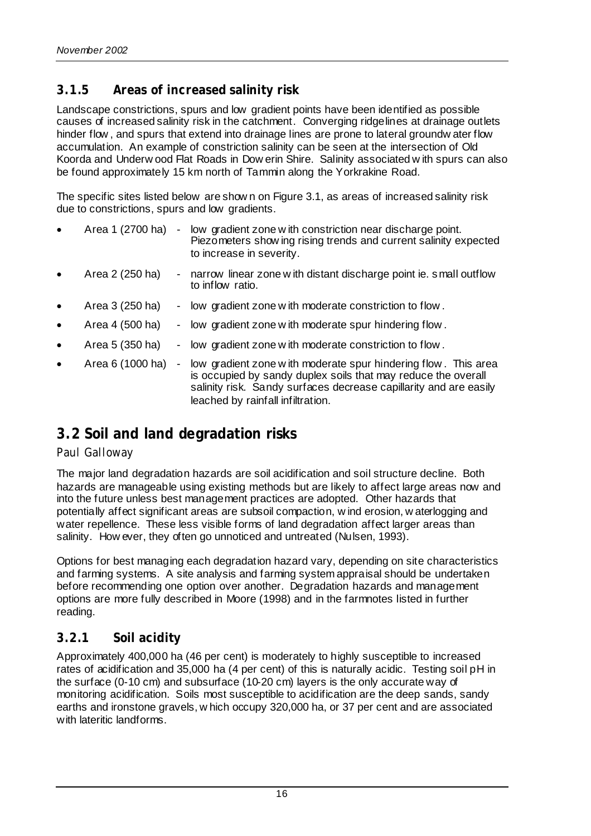#### **3.1.5 Areas of increased salinity risk**

Landscape constrictions, spurs and low gradient points have been identified as possible causes of increased salinity risk in the catchment. Converging ridgelines at drainage outlets hinder flow , and spurs that extend into drainage lines are prone to lateral groundw ater flow accumulation. An example of constriction salinity can be seen at the intersection of Old Koorda and Underw ood Flat Roads in Dow erin Shire. Salinity associated w ith spurs can also be found approximately 15 km north of Tammin along the Yorkrakine Road.

The specific sites listed below are show n on Figure 3.1, as areas of increased salinity risk due to constrictions, spurs and low gradients.

- Area 1 (2700 ha) low gradient zone w ith constriction near discharge point. Piezometers show ing rising trends and current salinity expected to increase in severity.
- Area 2 (250 ha) narrow linear zone w ith distant discharge point ie. small outflow to inflow ratio.
- Area 3 (250 ha) low gradient zone w ith moderate constriction to flow.
- Area 4 (500 ha) low gradient zone w ith moderate spur hindering flow.
- Area 5 (350 ha) low gradient zone w ith moderate constriction to flow.
- Area 6 (1000 ha) low gradient zone w ith moderate spur hindering flow . This area is occupied by sandy duplex soils that may reduce the overall salinity risk. Sandy surfaces decrease capillarity and are easily leached by rainfall infiltration.

## **3.2 Soil and land degradation risks**

#### *Paul Galloway*

The major land degradation hazards are soil acidification and soil structure decline. Both hazards are manageable using existing methods but are likely to affect large areas now and into the future unless best management practices are adopted. Other hazards that potentially affect significant areas are subsoil compaction, w ind erosion, w aterlogging and water repellence. These less visible forms of land degradation affect larger areas than salinity. How ever, they often go unnoticed and untreated (Nulsen, 1993).

Options for best managing each degradation hazard vary, depending on site characteristics and farming systems. A site analysis and farming system appraisal should be undertaken before recommending one option over another. Degradation hazards and management options are more fully described in Moore (1998) and in the farmnotes listed in further reading.

#### **3.2.1 Soil acidity**

Approximately 400,000 ha (46 per cent) is moderately to highly susceptible to increased rates of acidification and 35,000 ha (4 per cent) of this is naturally acidic. Testing soil pH in the surface (0-10 cm) and subsurface (10-20 cm) layers is the only accurate way of monitoring acidification. Soils most susceptible to acidification are the deep sands, sandy earths and ironstone gravels, w hich occupy 320,000 ha, or 37 per cent and are associated with lateritic landforms.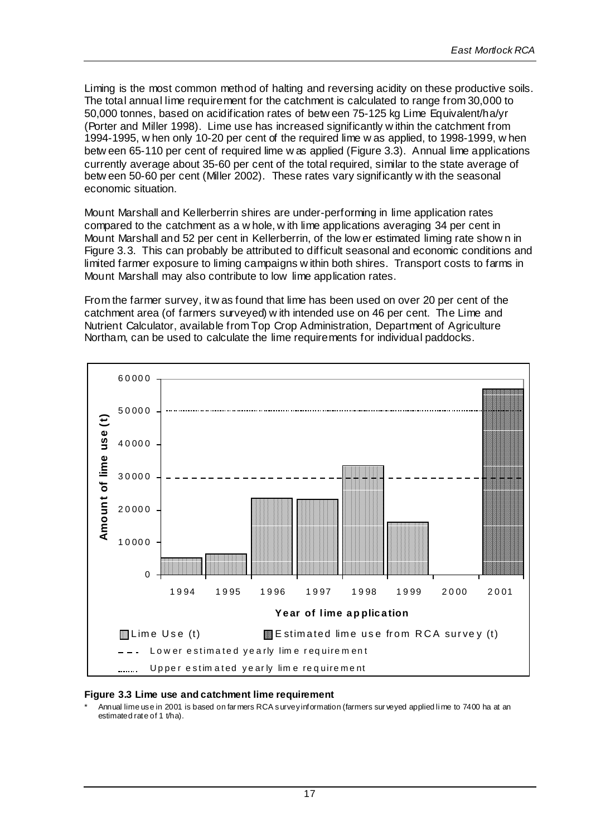Liming is the most common method of halting and reversing acidity on these productive soils. The total annual lime requirement for the catchment is calculated to range from 30,000 to 50,000 tonnes, based on acidification rates of betw een 75-125 kg Lime Equivalent/ha/yr (Porter and Miller 1998). Lime use has increased significantly w ithin the catchment from 1994-1995, w hen only 10-20 per cent of the required lime w as applied, to 1998-1999, w hen betw een 65-110 per cent of required lime w as applied (Figure 3.3). Annual lime applications currently average about 35-60 per cent of the total required, similar to the state average of betw een 50-60 per cent (Miller 2002). These rates vary significantly w ith the seasonal economic situation.

Mount Marshall and Kellerberrin shires are under-performing in lime application rates compared to the catchment as a w hole, w ith lime applications averaging 34 per cent in Mount Marshall and 52 per cent in Kellerberrin, of the low er estimated liming rate show n in Figure 3.3. This can probably be attributed to difficult seasonal and economic conditions and limited farmer exposure to liming campaigns w ithin both shires. Transport costs to farms in Mount Marshall may also contribute to low lime application rates.

From the farmer survey, it w as found that lime has been used on over 20 per cent of the catchment area (of farmers surveyed) w ith intended use on 46 per cent. The Lime and Nutrient Calculator, available from Top Crop Administration, Department of Agriculture Northam, can be used to calculate the lime requirements for individual paddocks.



#### **Figure 3.3 Lime use and catchment lime requirement**

Annual lime use in 2001 is based on far mers RCA survey information (farmers sur veyed applied li me to 7400 ha at an estimated rate of 1 t/ha).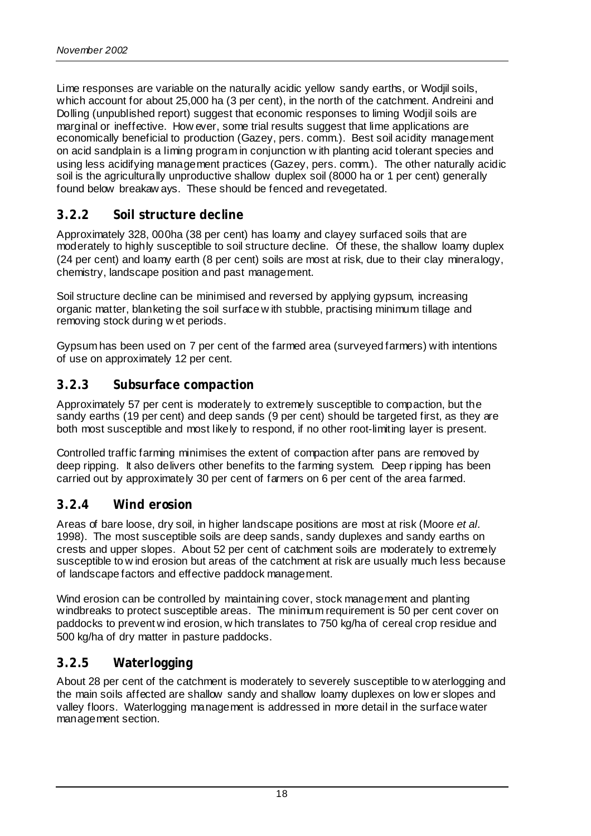Lime responses are variable on the naturally acidic yellow sandy earths, or Wodjil soils, which account for about 25,000 ha (3 per cent), in the north of the catchment. Andreini and Dolling (unpublished report) suggest that economic responses to liming Wodjil soils are marginal or ineffective. How ever, some trial results suggest that lime applications are economically beneficial to production (Gazey, pers. comm.). Best soil acidity management on acid sandplain is a liming program in conjunction w ith planting acid tolerant species and using less acidifying management practices (Gazey, pers. comm.). The other naturally acidic soil is the agriculturally unproductive shallow duplex soil (8000 ha or 1 per cent) generally found below breakaw ays. These should be fenced and revegetated.

#### **3.2.2 Soil structure decline**

Approximately 328, 000ha (38 per cent) has loamy and clayey surfaced soils that are moderately to highly susceptible to soil structure decline. Of these, the shallow loamy duplex (24 per cent) and loamy earth (8 per cent) soils are most at risk, due to their clay mineralogy, chemistry, landscape position and past management.

Soil structure decline can be minimised and reversed by applying gypsum, increasing organic matter, blanketing the soil surface w ith stubble, practising minimum tillage and removing stock during w et periods.

Gypsum has been used on 7 per cent of the farmed area (surveyed farmers) with intentions of use on approximately 12 per cent.

#### **3.2.3 Subsurface compaction**

Approximately 57 per cent is moderately to extremely susceptible to compaction, but the sandy earths (19 per cent) and deep sands (9 per cent) should be targeted first, as they are both most susceptible and most likely to respond, if no other root-limiting layer is present.

Controlled traffic farming minimises the extent of compaction after pans are removed by deep ripping. It also delivers other benefits to the farming system. Deep ripping has been carried out by approximately 30 per cent of farmers on 6 per cent of the area farmed.

#### **3.2.4 Wind erosion**

Areas of bare loose, dry soil, in higher landscape positions are most at risk (Moore *et al.* 1998). The most susceptible soils are deep sands, sandy duplexes and sandy earths on crests and upper slopes. About 52 per cent of catchment soils are moderately to extremely susceptible to w ind erosion but areas of the catchment at risk are usually much less because of landscape factors and effective paddock management.

Wind erosion can be controlled by maintaining cover, stock management and planting windbreaks to protect susceptible areas. The minimum requirement is 50 per cent cover on paddocks to prevent w ind erosion, w hich translates to 750 kg/ha of cereal crop residue and 500 kg/ha of dry matter in pasture paddocks.

#### **3.2.5 Waterlogging**

About 28 per cent of the catchment is moderately to severely susceptible to w aterlogging and the main soils affected are shallow sandy and shallow loamy duplexes on low er slopes and valley floors. Waterlogging management is addressed in more detail in the surface water management section.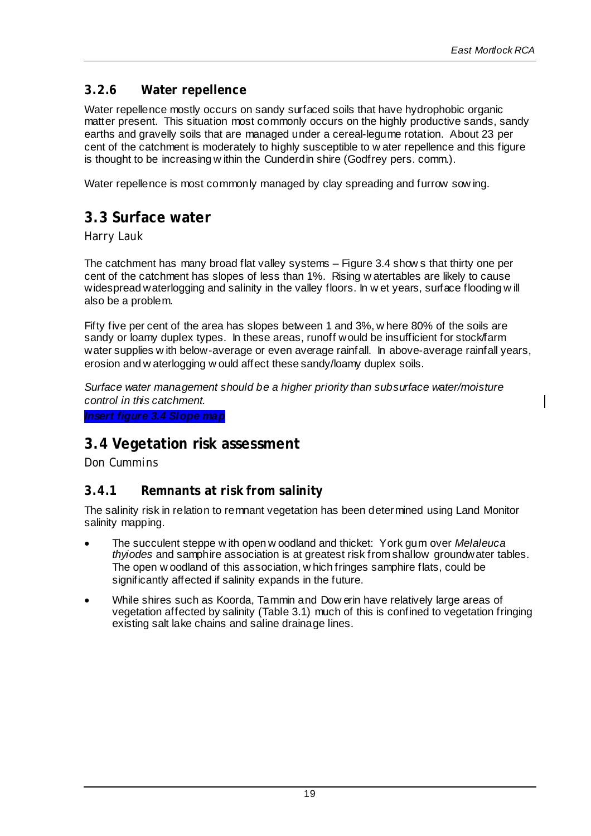#### **3.2.6 Water repellence**

Water repellence mostly occurs on sandy surfaced soils that have hydrophobic organic matter present. This situation most commonly occurs on the highly productive sands, sandy earths and gravelly soils that are managed under a cereal-legume rotation. About 23 per cent of the catchment is moderately to highly susceptible to w ater repellence and this figure is thought to be increasing w ithin the Cunderdin shire (Godfrey pers. comm.).

Water repellence is most commonly managed by clay spreading and furrow sow ing.

## **3.3 Surface water**

*Harry Lauk*

The catchment has many broad flat valley systems – Figure 3.4 show s that thirty one per cent of the catchment has slopes of less than 1%. Rising w atertables are likely to cause widespread waterlogging and salinity in the valley floors. In w et years, surface flooding w ill also be a problem.

Fifty five per cent of the area has slopes between 1 and 3%, w here 80% of the soils are sandy or loamy duplex types. In these areas, runoff would be insufficient for stock/farm water supplies w ith below-average or even average rainfall. In above-average rainfall years, erosion and w aterlogging w ould affect these sandy/loamy duplex soils.

*Surface water management should be a higher priority than subsurface water/moisture control in this catchment.*

*Insert figure 3.4 Slope map*

## **3.4 Vegetation risk assessment**

*Don Cummins*

#### **3.4.1 Remnants at risk from salinity**

The salinity risk in relation to remnant vegetation has been determined using Land Monitor salinity mapping.

- The succulent steppe w ith open w oodland and thicket: York gum over *Melaleuca thyiodes* and samphire association is at greatest risk from shallow groundwater tables. The open w oodland of this association, w hich fringes samphire flats, could be significantly affected if salinity expands in the future.
- While shires such as Koorda, Tammin and Dow erin have relatively large areas of vegetation affected by salinity (Table 3.1) much of this is confined to vegetation fringing existing salt lake chains and saline drainage lines.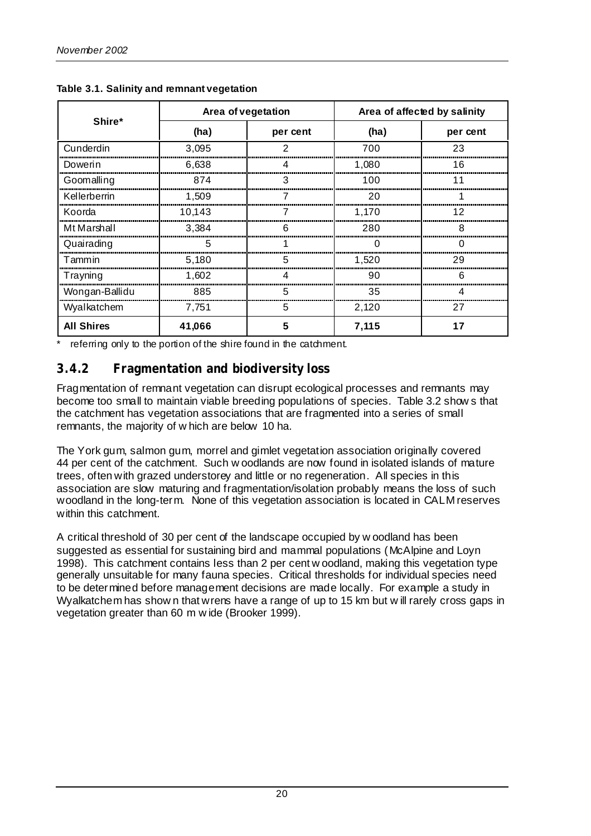|                   | Area of vegetation |          | Area of affected by salinity |          |  |
|-------------------|--------------------|----------|------------------------------|----------|--|
| Shire*            | (ha)               | per cent | (ha)                         | per cent |  |
| Cunderdin         | 3,095              | っ        | 700                          | 23       |  |
| Dowerin           | 6.638              |          | 1,080                        | 16       |  |
| Goomalling        | 874                |          | 100                          |          |  |
| Kellerberrin      | 1.509              |          | 20                           |          |  |
| Koorda            | 10.143             |          | 1,170                        |          |  |
| Mt Marshall       | 3.384              |          | 280                          |          |  |
| Quairading        | h                  |          |                              |          |  |
| Tammin            | 5,180              |          | 1,520                        | 29       |  |
| Trayning          | 1,602              |          | 90                           | h        |  |
| Wongan-Ballidu    | 885                |          | 35                           |          |  |
| Wyalkatchem       | 7,751              | 5        | 2,120                        | 27       |  |
| <b>All Shires</b> | 41,066             |          | 7,115                        |          |  |

**Table 3.1. Salinity and remnant vegetation**

referring only to the portion of the shire found in the catchment.

### **3.4.2 Fragmentation and biodiversity loss**

Fragmentation of remnant vegetation can disrupt ecological processes and remnants may become too small to maintain viable breeding populations of species. Table 3.2 show s that the catchment has vegetation associations that are fragmented into a series of small remnants, the majority of w hich are below 10 ha.

The York gum, salmon gum, morrel and gimlet vegetation association originally covered 44 per cent of the catchment. Such w oodlands are now found in isolated islands of mature trees, often with grazed understorey and little or no regeneration. All species in this association are slow maturing and fragmentation/isolation probably means the loss of such woodland in the long-term. None of this vegetation association is located in CALM reserves within this catchment.

A critical threshold of 30 per cent of the landscape occupied by w oodland has been suggested as essential for sustaining bird and mammal populations (McAlpine and Loyn 1998). This catchment contains less than 2 per cent w oodland, making this vegetation type generally unsuitable for many fauna species. Critical thresholds for individual species need to be determined before management decisions are made locally. For example a study in Wyalkatchem has show n that wrens have a range of up to 15 km but w ill rarely cross gaps in vegetation greater than 60 m w ide (Brooker 1999).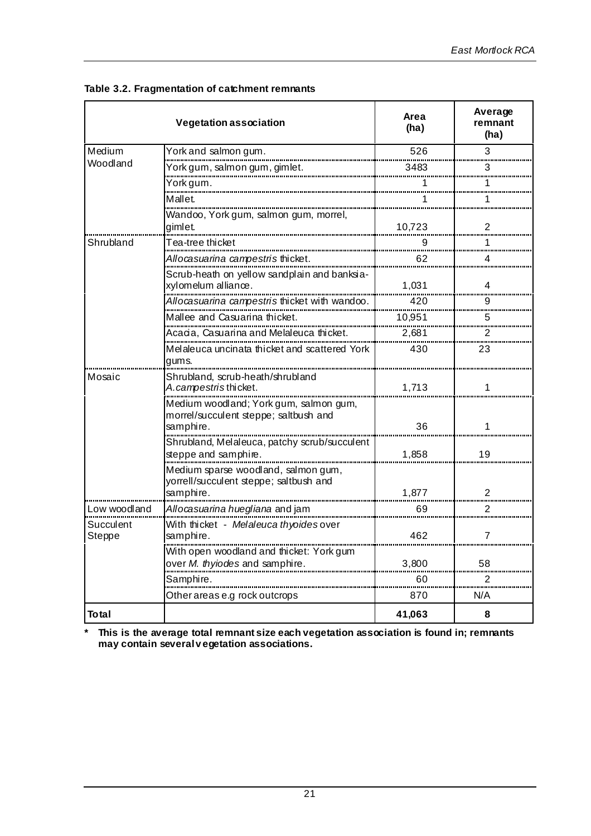|                     | <b>Vegetation association</b>                                                                | Area<br>(ha) | Average<br>remnant<br>(ha) |
|---------------------|----------------------------------------------------------------------------------------------|--------------|----------------------------|
| Medium              | York and salmon gum.                                                                         | 526          | 3                          |
| Woodland            |                                                                                              | 3483         |                            |
|                     | York gum.                                                                                    |              |                            |
|                     | Mallet.                                                                                      |              |                            |
|                     | Wandoo, York gum, salmon gum, morrel,<br>gimlet.                                             | 10,723       | 2                          |
| Shrubland           | Tea-tree thicket                                                                             |              |                            |
|                     | Allocasuarina campestris thicket.                                                            | 62           | 4                          |
|                     | Scrub-heath on yellow sandplain and banksia-<br>xylomelum alliance.                          | 1,031        | 4                          |
|                     | Allocasuarina campestris thicket with wandoo.                                                | 420          |                            |
|                     | Mallee and Casuarina thicket.                                                                | 10,951       | 5                          |
|                     |                                                                                              | 2,681        |                            |
|                     | Melaleuca uncinata thicket and scattered York<br>gums.                                       | 430          | 23                         |
| Mosaic              | Shrubland, scrub-heath/shrubland<br>A.campestristhicket.                                     | 1,713        | 1                          |
|                     | Medium woodland; York gum, salmon gum,<br>morrel/succulent steppe; saltbush and<br>samphire. | 36           | 1                          |
|                     | Shrubland, Melaleuca, patchy scrub/succulent<br>steppe and samphire.                         | 1,858        | 19                         |
|                     | Medium sparse woodland, salmon gum,<br>yorrell/succulent steppe; saltbush and<br>samphire.   | 1,877        | 2                          |
| Low woodland        | Allocasuarina huegliana and jam                                                              | 69           | 2                          |
| Succulent<br>Steppe | With thicket - Melaleuca thyoides over<br>samphire.                                          | 462          | $\overline{7}$             |
|                     | With open woodland and thicket: York gum<br>over M. thyiodes and samphire.                   | 3,800        | 58                         |
|                     | Samphire.                                                                                    | 60           | 2                          |
|                     | Other areas e.g rock outcrops                                                                | 870          | N/A                        |
| <b>Total</b>        |                                                                                              | 41,063       | 8                          |

**Table 3.2. Fragmentation of catchment remnants**

**\* This is the average total remnant size each vegetation association is found in; remnants may contain several v egetation associations.**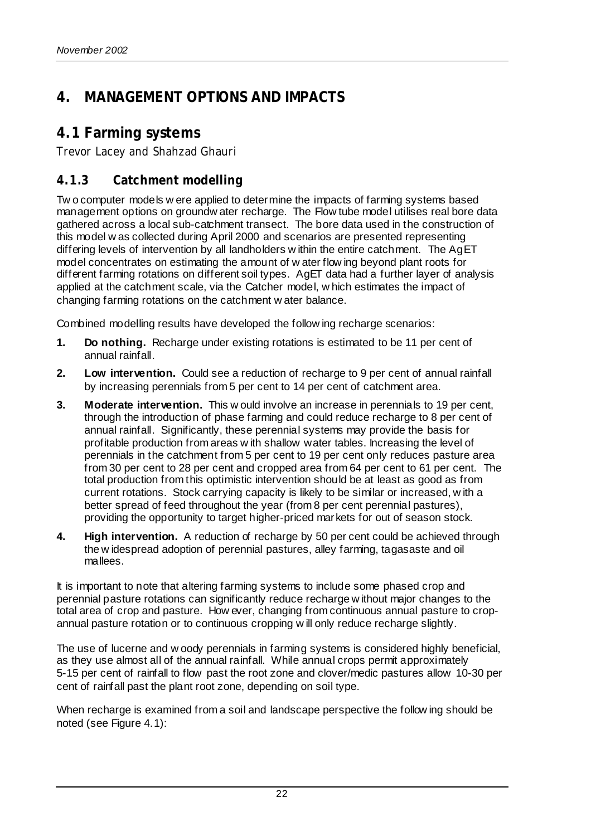## **4. MANAGEMENT OPTIONS AND IMPACTS**

## **4.1 Farming systems**

*Trevor Lacey and Shahzad Ghauri*

### **4.1.3 Catchment modelling**

Tw o computer models w ere applied to determine the impacts of farming systems based management options on groundw ater recharge. The Flow tube model utilises real bore data gathered across a local sub-catchment transect. The bore data used in the construction of this model w as collected during April 2000 and scenarios are presented representing differing levels of intervention by all landholders w ithin the entire catchment. The AgET model concentrates on estimating the amount of w ater flow ing beyond plant roots for different farming rotations on different soil types. AgET data had a further layer of analysis applied at the catchment scale, via the Catcher model, w hich estimates the impact of changing farming rotations on the catchment w ater balance.

Combined modelling results have developed the follow ing recharge scenarios:

- **1. Do nothing.** Recharge under existing rotations is estimated to be 11 per cent of annual rainfall.
- **2. Low intervention.** Could see a reduction of recharge to 9 per cent of annual rainfall by increasing perennials from 5 per cent to 14 per cent of catchment area.
- **3. Moderate intervention.** This w ould involve an increase in perennials to 19 per cent, through the introduction of phase farming and could reduce recharge to 8 per cent of annual rainfall. Significantly, these perennial systems may provide the basis for profitable production from areas w ith shallow water tables. Increasing the level of perennials in the catchment from 5 per cent to 19 per cent only reduces pasture area from 30 per cent to 28 per cent and cropped area from 64 per cent to 61 per cent. The total production from this optimistic intervention should be at least as good as from current rotations. Stock carrying capacity is likely to be similar or increased, w ith a better spread of feed throughout the year (from 8 per cent perennial pastures), providing the opportunity to target higher-priced markets for out of season stock.
- **4. High intervention.** A reduction of recharge by 50 per cent could be achieved through the w idespread adoption of perennial pastures, alley farming, tagasaste and oil mallees.

It is important to note that altering farming systems to include some phased crop and perennial pasture rotations can significantly reduce recharge w ithout major changes to the total area of crop and pasture. How ever, changing from continuous annual pasture to cropannual pasture rotation or to continuous cropping w ill only reduce recharge slightly.

The use of lucerne and w oody perennials in farming systems is considered highly beneficial, as they use almost all of the annual rainfall. While annual crops permit approximately 5-15 per cent of rainfall to flow past the root zone and clover/medic pastures allow 10-30 per cent of rainfall past the plant root zone, depending on soil type.

When recharge is examined from a soil and landscape perspective the follow ing should be noted (see Figure 4.1):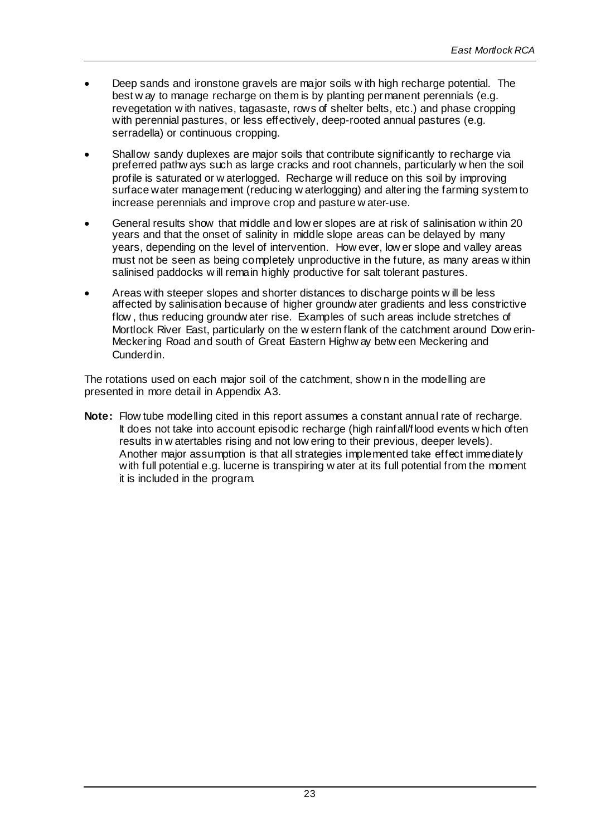- Deep sands and ironstone gravels are major soils w ith high recharge potential. The best w ay to manage recharge on them is by planting permanent perennials (e.g. revegetation w ith natives, tagasaste, rows of shelter belts, etc.) and phase cropping with perennial pastures, or less effectively, deep-rooted annual pastures (e.g. serradella) or continuous cropping.
- Shallow sandy duplexes are major soils that contribute significantly to recharge via preferred pathw ays such as large cracks and root channels, particularly w hen the soil profile is saturated or w aterlogged. Recharge w ill reduce on this soil by improving surface water management (reducing w aterlogging) and altering the farming system to increase perennials and improve crop and pasture w ater-use.
- General results show that middle and low er slopes are at risk of salinisation w ithin 20 years and that the onset of salinity in middle slope areas can be delayed by many years, depending on the level of intervention. How ever, low er slope and valley areas must not be seen as being completely unproductive in the future, as many areas w ithin salinised paddocks w ill remain highly productive for salt tolerant pastures.
- Areas with steeper slopes and shorter distances to discharge points w ill be less affected by salinisation because of higher groundw ater gradients and less constrictive flow , thus reducing groundw ater rise. Examples of such areas include stretches of Mortlock River East, particularly on the w estern flank of the catchment around Dow erin-Meckering Road and south of Great Eastern Highw ay betw een Meckering and Cunderdin.

The rotations used on each major soil of the catchment, show n in the modelling are presented in more detail in Appendix A3.

**Note:** Flow tube modelling cited in this report assumes a constant annual rate of recharge. It does not take into account episodic recharge (high rainfall/flood events w hich often results in w atertables rising and not low ering to their previous, deeper levels). Another major assumption is that all strategies implemented take effect immediately with full potential e.g. lucerne is transpiring w ater at its full potential from the moment it is included in the program.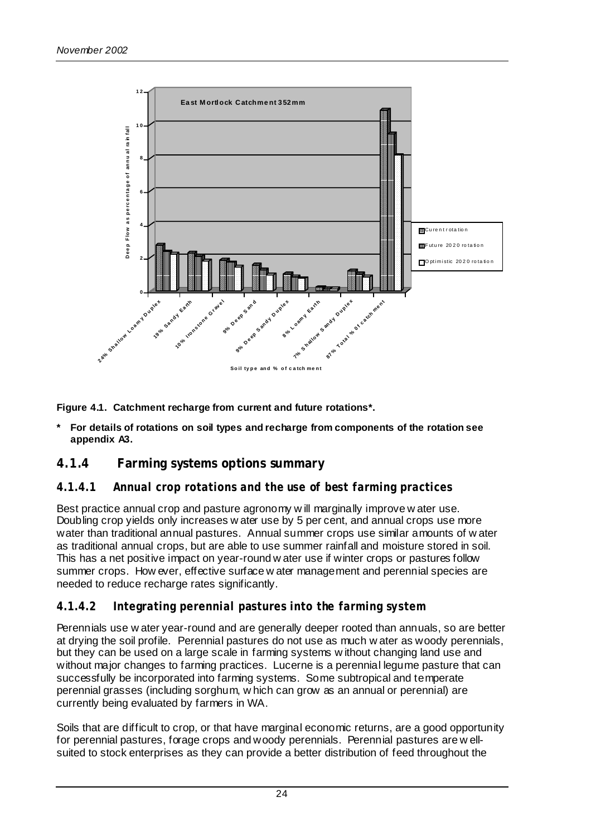

**Figure 4.1. Catchment recharge from current and future rotations\*.**

**\* For details of rotations on soil types and recharge from components of the rotation see appendix A3.**

#### **4.1.4 Farming systems options summary**

#### *4.1.4.1 Annual crop rotations and the use of best farming practices*

Best practice annual crop and pasture agronomy w ill marginally improve w ater use. Doubling crop yields only increases w ater use by 5 per cent, and annual crops use more water than traditional annual pastures. Annual summer crops use similar amounts of w ater as traditional annual crops, but are able to use summer rainfall and moisture stored in soil. This has a net positive impact on year-round w ater use if winter crops or pastures follow summer crops. How ever, effective surface w ater management and perennial species are needed to reduce recharge rates significantly.

#### *4.1.4.2 Integrating perennial pastures into the farming system*

Perennials use w ater year-round and are generally deeper rooted than annuals, so are better at drying the soil profile. Perennial pastures do not use as much w ater as woody perennials, but they can be used on a large scale in farming systems w ithout changing land use and without major changes to farming practices. Lucerne is a perennial legume pasture that can successfully be incorporated into farming systems. Some subtropical and temperate perennial grasses (including sorghum, w hich can grow as an annual or perennial) are currently being evaluated by farmers in WA.

Soils that are difficult to crop, or that have marginal economic returns, are a good opportunity for perennial pastures, forage crops and woody perennials. Perennial pastures are w ellsuited to stock enterprises as they can provide a better distribution of feed throughout the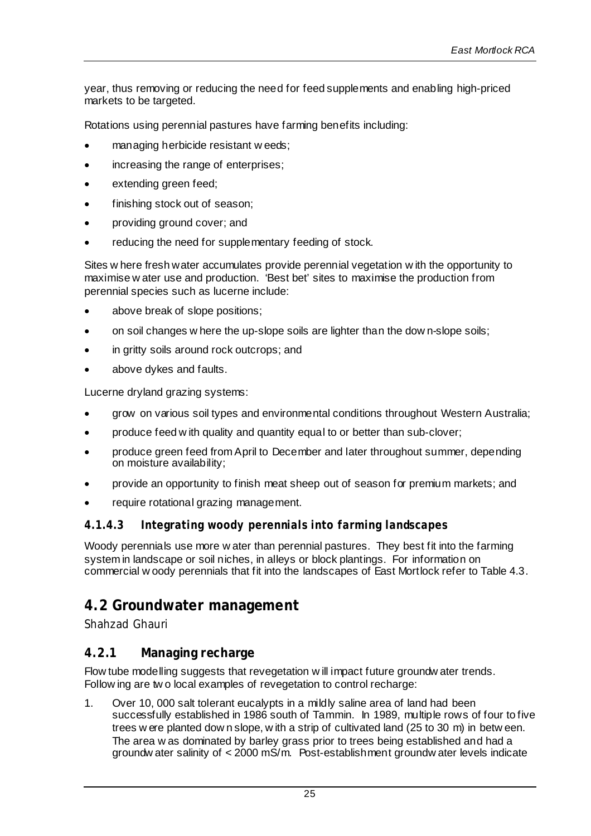year, thus removing or reducing the need for feed supplements and enabling high-priced markets to be targeted.

Rotations using perennial pastures have farming benefits including:

- managing herbicide resistant w eeds;
- increasing the range of enterprises;
- extending green feed;
- finishing stock out of season;
- providing ground cover; and
- reducing the need for supplementary feeding of stock.

Sites w here fresh water accumulates provide perennial vegetation w ith the opportunity to maximise w ater use and production. 'Best bet' sites to maximise the production from perennial species such as lucerne include:

- above break of slope positions;
- on soil changes w here the up-slope soils are lighter than the dow n-slope soils;
- in gritty soils around rock outcrops; and
- above dykes and faults.

Lucerne dryland grazing systems:

- grow on various soil types and environmental conditions throughout Western Australia;
- produce feed w ith quality and quantity equal to or better than sub-clover;
- produce green feed from April to December and later throughout summer, depending on moisture availability;
- provide an opportunity to finish meat sheep out of season for premium markets; and
- require rotational grazing management.

#### *4.1.4.3 Integrating woody perennials into farming landscapes*

Woody perennials use more w ater than perennial pastures. They best fit into the farming system in landscape or soil niches, in alleys or block plantings. For information on commercial w oody perennials that fit into the landscapes of East Mortlock refer to Table 4.3.

#### **4.2 Groundwater management**

*Shahzad Ghauri*

#### **4.2.1 Managing recharge**

Flow tube modelling suggests that revegetation w ill impact future groundw ater trends. Follow ing are two local examples of revegetation to control recharge:

1. Over 10, 000 salt tolerant eucalypts in a mildly saline area of land had been successfully established in 1986 south of Tammin. In 1989, multiple rows of four to five trees w ere planted dow n slope, w ith a strip of cultivated land (25 to 30 m) in betw een. The area w as dominated by barley grass prior to trees being established and had a groundw ater salinity of < 2000 mS/m. Post-establishment groundw ater levels indicate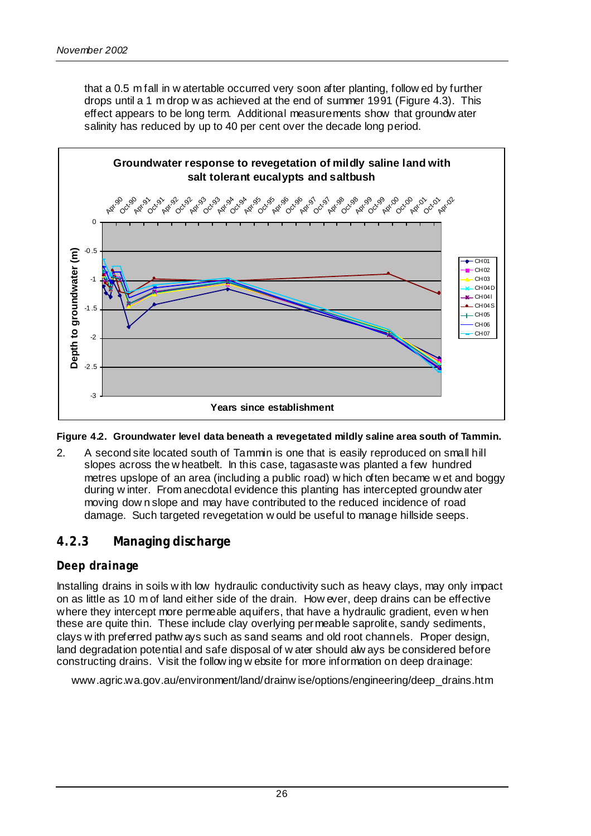that a 0.5 m fall in w atertable occurred very soon after planting, follow ed by further drops until a 1 m drop w as achieved at the end of summer 1991 (Figure 4.3). This effect appears to be long term. Additional measurements show that groundw ater salinity has reduced by up to 40 per cent over the decade long period.



#### **Figure 4.2. Groundwater level data beneath a revegetated mildly saline area south of Tammin.**

2. A second site located south of Tammin is one that is easily reproduced on small hill slopes across the w heatbelt. In this case, tagasaste was planted a few hundred metres upslope of an area (including a public road) w hich often became w et and boggy during w inter. From anecdotal evidence this planting has intercepted groundw ater moving dow n slope and may have contributed to the reduced incidence of road damage. Such targeted revegetation w ould be useful to manage hillside seeps.

#### **4.2.3 Managing discharge**

#### *Deep drainage*

Installing drains in soils w ith low hydraulic conductivity such as heavy clays, may only impact on as little as 10 m of land either side of the drain. How ever, deep drains can be effective where they intercept more permeable aquifers, that have a hydraulic gradient, even w hen these are quite thin. These include clay overlying permeable saprolite, sandy sediments, clays w ith preferred pathw ays such as sand seams and old root channels. Proper design, land degradation potential and safe disposal of w ater should alw ays be considered before constructing drains. Visit the follow ing w ebsite for more information on deep drainage:

www.agric.wa.gov.au/environment/land/drainw ise/options/engineering/deep\_drains.htm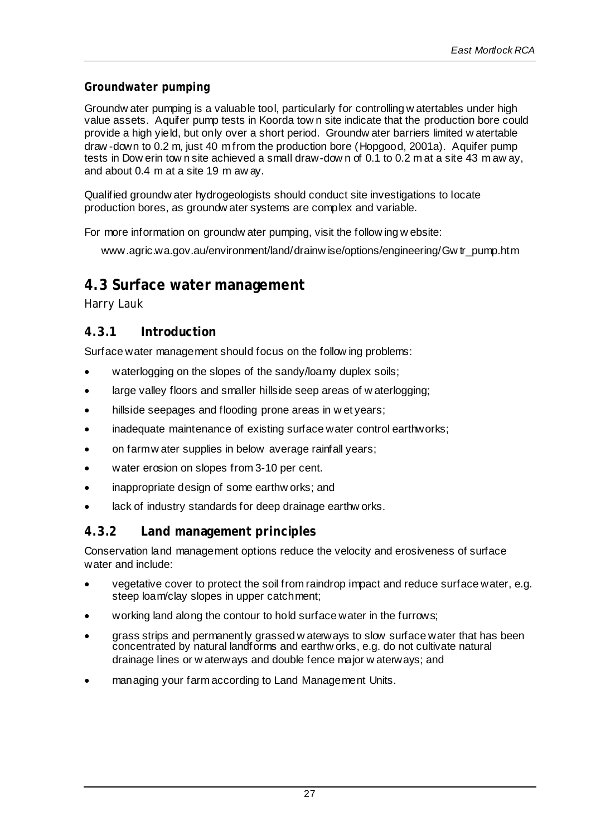#### *Groundwater pumping*

Groundw ater pumping is a valuable tool, particularly for controlling w atertables under high value assets. Aquifer pump tests in Koorda tow n site indicate that the production bore could provide a high yield, but only over a short period. Groundw ater barriers limited w atertable draw -down to 0.2 m, just 40 m from the production bore (Hopgood, 2001a). Aquifer pump tests in Dow erin tow n site achieved a small draw-dow n of 0.1 to 0.2 m at a site 43 m aw ay, and about 0.4 m at a site 19 m aw ay.

Qualified groundw ater hydrogeologists should conduct site investigations to locate production bores, as groundw ater systems are complex and variable.

For more information on groundw ater pumping, visit the follow ing w ebsite:

www.agric.wa.gov.au/environment/land/drainw ise/options/engineering/Gw tr\_pump.htm

#### **4.3 Surface water management**

*Harry Lauk*

#### **4.3.1 Introduction**

Surface water management should focus on the follow ing problems:

- waterlogging on the slopes of the sandy/loamy duplex soils;
- large valley floors and smaller hillside seep areas of w aterlogging;
- hillside seepages and flooding prone areas in wet years;
- inadequate maintenance of existing surface water control earthworks;
- on farm w ater supplies in below average rainfall years;
- water erosion on slopes from 3-10 per cent.
- inappropriate design of some earthw orks; and
- lack of industry standards for deep drainage earthw orks.

#### **4.3.2 Land management principles**

Conservation land management options reduce the velocity and erosiveness of surface water and include:

- vegetative cover to protect the soil from raindrop impact and reduce surface water, e.g. steep loam/clay slopes in upper catchment;
- working land along the contour to hold surface water in the furrows;
- grass strips and permanently grassed w aterways to slow surface water that has been concentrated by natural landforms and earthw orks, e.g. do not cultivate natural drainage lines or w aterways and double fence major w aterways; and
- managing your farm according to Land Management Units.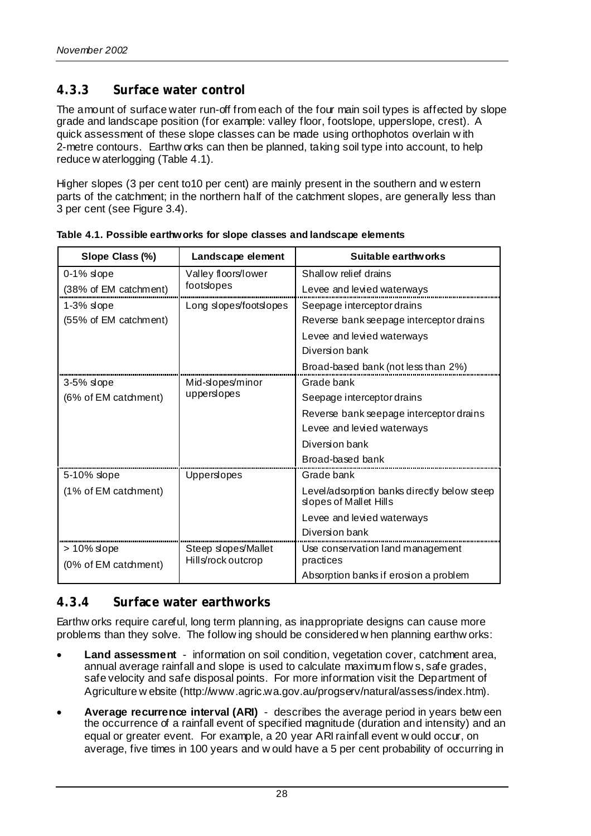## **4.3.3 Surface water control**

The amount of surface water run-off from each of the four main soil types is affected by slope grade and landscape position (for example: valley floor, footslope, upperslope, crest). A quick assessment of these slope classes can be made using orthophotos overlain w ith 2-metre contours. Earthw orks can then be planned, taking soil type into account, to help reduce w aterlogging (Table 4.1).

Higher slopes (3 per cent to10 per cent) are mainly present in the southern and w estern parts of the catchment; in the northern half of the catchment slopes, are generally less than 3 per cent (see Figure 3.4).

| Slope Class (%)       | Landscape element      | Suitable earthworks                                                   |  |
|-----------------------|------------------------|-----------------------------------------------------------------------|--|
| $0-1%$ slope          | Valley floors/lower    | Shallow relief drains                                                 |  |
| (38% of EM catchment) | footslopes             | Levee and levied waterways                                            |  |
| $1-3%$ slope          | Long slopes/footslopes | Seepage interceptor drains                                            |  |
| (55% of EM catchment) |                        | Reverse bank seepage interceptor drains                               |  |
|                       |                        | Levee and levied waterways                                            |  |
|                       |                        | Diversion bank                                                        |  |
|                       |                        | Broad-based bank (not less than 2%)                                   |  |
| $3-5%$ slope          | Mid-slopes/minor       | Grade bank                                                            |  |
| (6% of EM catchment)  | upperslopes            | Seepage interceptor drains                                            |  |
|                       |                        | Reverse bank seepage interceptor drains                               |  |
|                       |                        | Levee and levied waterways                                            |  |
|                       |                        | Diversion bank                                                        |  |
|                       |                        | Broad-based bank                                                      |  |
| 5-10% slope           | Uppersiopes            | Grade bank                                                            |  |
| (1% of EM catchment)  |                        | Level/adsorption banks directly below steep<br>slopes of Mallet Hills |  |
|                       |                        | Levee and levied waterways                                            |  |
|                       |                        | Diversion bank                                                        |  |
| > 10% slope           | Steep slopes/Mallet    | Use conservation land management                                      |  |
| (0% of EM catchment)  | Hills/rock outcrop     | practices                                                             |  |
|                       |                        | Absorption banks if erosion a problem                                 |  |

**Table 4.1. Possible earthworks for slope classes and landscape elements**

#### **4.3.4 Surface water earthworks**

Earthw orks require careful, long term planning, as inappropriate designs can cause more problems than they solve. The follow ing should be considered w hen planning earthw orks:

- **Land assessment** information on soil condition, vegetation cover, catchment area, annual average rainfall and slope is used to calculate maximum flow s, safe grades, safe velocity and safe disposal points. For more information visit the Department of Agriculture w ebsite (http://www.agric.wa.gov.au/progserv/natural/assess/index.htm).
- **Average recurrence interval (ARI)** describes the average period in years betw een the occurrence of a rainfall event of specified magnitude (duration and intensity) and an equal or greater event. For example, a 20 year ARI rainfall event w ould occur, on average, five times in 100 years and w ould have a 5 per cent probability of occurring in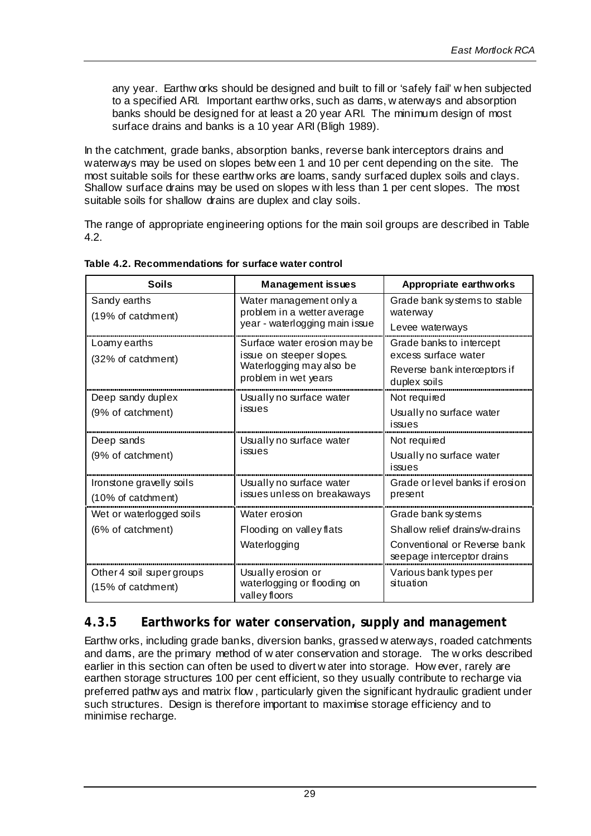any year. Earthw orks should be designed and built to fill or 'safely fail' w hen subjected to a specified ARI. Important earthw orks, such as dams, w aterways and absorption banks should be designed for at least a 20 year ARI. The minimum design of most surface drains and banks is a 10 year ARI (Bligh 1989).

In the catchment, grade banks, absorption banks, reverse bank interceptors drains and waterways may be used on slopes betw een 1 and 10 per cent depending on the site. The most suitable soils for these earthw orks are loams, sandy surfaced duplex soils and clays. Shallow surface drains may be used on slopes w ith less than 1 per cent slopes. The most suitable soils for shallow drains are duplex and clay soils.

The range of appropriate engineering options for the main soil groups are described in Table 4.2.

| <b>Soils</b>                       | <b>Management issues</b>                               | Appropriate earthworks                                     |  |
|------------------------------------|--------------------------------------------------------|------------------------------------------------------------|--|
| Sandy earths<br>(19% of catchment) | Water management only a<br>problem in a wetter average | Grade bank systems to stable<br>waterway                   |  |
|                                    | year - waterlogging main issue                         | Levee waterways                                            |  |
| Loamy earths                       | Surface water erosion may be                           | Grade banks to intercept                                   |  |
| (32% of catchment)                 | issue on steeper slopes.                               | excess surface water                                       |  |
|                                    | Waterlogging may also be<br>problem in wet years       | Reverse bank interceptors if<br>duplex soils               |  |
| Deep sandy duplex                  | Usually no surface water                               | Not required                                               |  |
| (9% of catchment)                  | issues                                                 | Usually no surface water                                   |  |
|                                    |                                                        | issues                                                     |  |
| Deep sands                         | Usually no surface water                               | Not required                                               |  |
| (9% of catchment)                  | issues                                                 | Usually no surface water<br>issues                         |  |
| Ironstone gravelly soils           | Usually no surface water                               | Grade or level banks if erosion                            |  |
| (10% of catchment)                 | issues unless on breakaways                            | present                                                    |  |
| Wet or waterlogged soils           | Water erosion                                          | Grade bank sy stems                                        |  |
| (6% of catchment)                  | Flooding on valley flats                               | Shallow relief drains/w-drains                             |  |
|                                    | Waterlogging                                           | Conventional or Reverse bank<br>seepage interceptor drains |  |
| Other 4 soil super groups          | Usually erosion or                                     | Various bank types per                                     |  |
| (15% of catchment)                 | waterlogging or flooding on<br>valley floors           | situation                                                  |  |

**Table 4.2. Recommendations for surface water control**

#### **4.3.5 Earthworks for water conservation, supply and management**

Earthw orks, including grade banks, diversion banks, grassed w aterways, roaded catchments and dams, are the primary method of w ater conservation and storage. The w orks described earlier in this section can often be used to divert w ater into storage. How ever, rarely are earthen storage structures 100 per cent efficient, so they usually contribute to recharge via preferred pathw ays and matrix flow , particularly given the significant hydraulic gradient under such structures. Design is therefore important to maximise storage efficiency and to minimise recharge.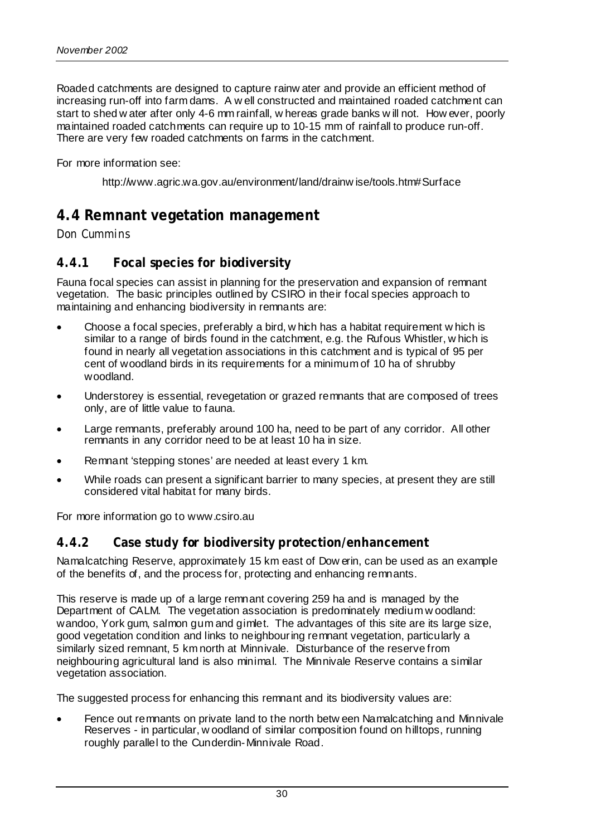Roaded catchments are designed to capture rainw ater and provide an efficient method of increasing run-off into farm dams. A w ell constructed and maintained roaded catchment can start to shed w ater after only 4-6 mm rainfall, w hereas grade banks w ill not. How ever, poorly maintained roaded catchments can require up to 10-15 mm of rainfall to produce run-off. There are very few roaded catchments on farms in the catchment.

For more information see:

http://www.agric.wa.gov.au/environment/land/drainw ise/tools.htm#Surface

## **4.4 Remnant vegetation management**

#### *Don Cummins*

#### **4.4.1 Focal species for biodiversity**

Fauna focal species can assist in planning for the preservation and expansion of remnant vegetation. The basic principles outlined by CSIRO in their focal species approach to maintaining and enhancing biodiversity in remnants are:

- Choose a focal species, preferably a bird, w hich has a habitat requirement w hich is similar to a range of birds found in the catchment, e.g. the Rufous Whistler, w hich is found in nearly all vegetation associations in this catchment and is typical of 95 per cent of woodland birds in its requirements for a minimum of 10 ha of shrubby woodland.
- Understorey is essential, revegetation or grazed remnants that are composed of trees only, are of little value to fauna.
- Large remnants, preferably around 100 ha, need to be part of any corridor. All other remnants in any corridor need to be at least 10 ha in size.
- Remnant 'stepping stones' are needed at least every 1 km.
- While roads can present a significant barrier to many species, at present they are still considered vital habitat for many birds.

For more information go to www.csiro.au

#### **4.4.2 Case study for biodiversity protection/enhancement**

Namalcatching Reserve, approximately 15 km east of Dow erin, can be used as an example of the benefits of, and the process for, protecting and enhancing remnants.

This reserve is made up of a large remnant covering 259 ha and is managed by the Department of CALM. The vegetation association is predominately medium w oodland: wandoo, York gum, salmon gum and gimlet. The advantages of this site are its large size, good vegetation condition and links to neighbouring remnant vegetation, particularly a similarly sized remnant, 5 km north at Minnivale. Disturbance of the reserve from neighbouring agricultural land is also minimal. The Minnivale Reserve contains a similar vegetation association.

The suggested process for enhancing this remnant and its biodiversity values are:

Fence out remnants on private land to the north betw een Namalcatching and Minnivale Reserves - in particular, w oodland of similar composition found on hilltops, running roughly parallel to the Cunderdin-Minnivale Road.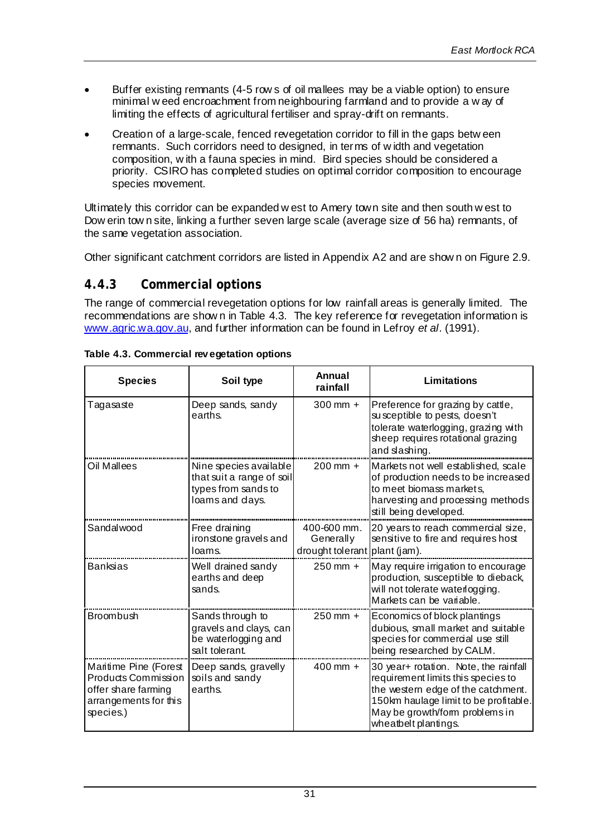- Buffer existing remnants (4-5 row s of oil mallees may be a viable option) to ensure minimal w eed encroachment from neighbouring farmland and to provide a w ay of limiting the effects of agricultural fertiliser and spray-drift on remnants.
- Creation of a large-scale, fenced revegetation corridor to fill in the gaps betw een remnants. Such corridors need to designed, in terms of w idth and vegetation composition, w ith a fauna species in mind. Bird species should be considered a priority. CSIRO has completed studies on optimal corridor composition to encourage species movement.

Ultimately this corridor can be expanded w est to Amery town site and then south w est to Dow erin tow n site, linking a further seven large scale (average size of 56 ha) remnants, of the same vegetation association.

Other significant catchment corridors are listed in Appendix A2 and are show n on Figure 2.9.

#### **4.4.3 Commercial options**

The range of commercial revegetation options for low rainfall areas is generally limited. The recommendations are show n in Table 4.3. The key reference for revegetation information is www.agric.wa.gov.au, and further information can be found in Lefroy *et al*. (1991).

| <b>Species</b>                                                                                            | Soil type                                                                                     | Annual<br>rainfall                           | Limitations                                                                                                                                                                                                          |
|-----------------------------------------------------------------------------------------------------------|-----------------------------------------------------------------------------------------------|----------------------------------------------|----------------------------------------------------------------------------------------------------------------------------------------------------------------------------------------------------------------------|
| Tagasaste                                                                                                 | Deep sands, sandy<br>earths.                                                                  | $300 \, \text{mm} +$                         | Preference for grazing by cattle,<br>susceptible to pests, doesn't<br>tolerate waterlogging, grazing with<br>sheep requires rotational grazing<br>and slashing.                                                      |
| Oil Mallees                                                                                               | Nine species available<br>that suit a range of soil<br>types from sands to<br>loams and days. | $200 \, \text{mm} +$                         | Markets not well established, scale<br>of production needs to be increased<br>to meet biomass markets,<br>harvesting and processing methods<br>still being developed.                                                |
| Sandalwood                                                                                                | Free draining<br>ironstone gravels and<br>loams.                                              | 400-600 mm.<br>Generally<br>drought tolerant | 20 years to reach commercial size,<br>sensitive to fire and requires host<br>plant (jam).                                                                                                                            |
| <b>Banksias</b>                                                                                           | Well drained sandy<br>earths and deep<br>sands.                                               | $250$ mm $+$                                 | May require irrigation to encourage<br>production, susceptible to dieback,<br>will not tolerate waterlogging.<br>Markets can be variable.                                                                            |
| Broombush                                                                                                 | Sands through to<br>gravels and clays, can<br>be waterlogging and<br>salt tolerant.           | 250 mm +                                     | Economics of block plantings<br>dubious, small market and suitable<br>species for commercial use still<br>being researched by CALM.                                                                                  |
| Maritime Pine (Forest<br>Products Commission<br>offer share farming<br>arrangements for this<br>species.) | Deep sands, gravelly<br>soils and sandy<br>earths.                                            | $400 \,\mathrm{mm} +$                        | 30 year+ rotation. Note, the rainfall<br>requirement limits this species to<br>the western edge of the catchment.<br>150km haulage limit to be profitable.<br>May be growth/form problems in<br>wheatbelt plantings. |

**Table 4.3. Commercial rev egetation options**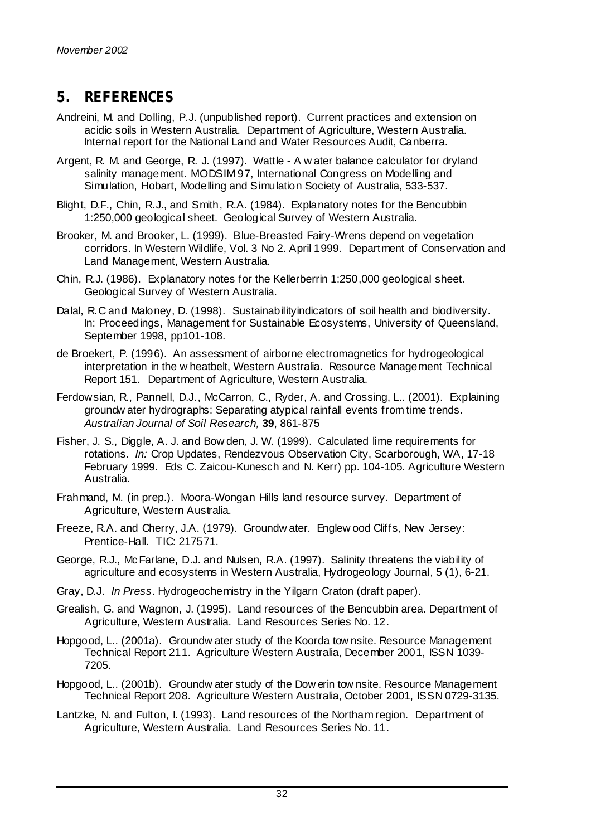## **5. REFERENCES**

- Andreini, M. and Dolling, P.J. (unpublished report). Current practices and extension on acidic soils in Western Australia. Department of Agriculture, Western Australia. Internal report for the National Land and Water Resources Audit, Canberra.
- Argent, R. M. and George, R. J. (1997). Wattle A w ater balance calculator for dryland salinity management. MODSIM 97, International Congress on Modelling and Simulation, Hobart, Modelling and Simulation Society of Australia, 533-537.
- Blight, D.F., Chin, R.J., and Smith, R.A. (1984). Explanatory notes for the Bencubbin 1:250,000 geological sheet. Geological Survey of Western Australia.
- Brooker, M. and Brooker, L. (1999). Blue-Breasted Fairy-Wrens depend on vegetation corridors. In Western Wildlife, Vol. 3 No 2. April 1999. Department of Conservation and Land Management, Western Australia.
- Chin, R.J. (1986). Explanatory notes for the Kellerberrin 1:250,000 geological sheet. Geological Survey of Western Australia.
- Dalal, R.C and Maloney, D. (1998). Sustainabilityindicators of soil health and biodiversity. In: Proceedings, Management for Sustainable Ecosystems, University of Queensland, September 1998, pp101-108.
- de Broekert, P. (1996). An assessment of airborne electromagnetics for hydrogeological interpretation in the w heatbelt, Western Australia. Resource Management Technical Report 151. Department of Agriculture, Western Australia.
- Ferdowsian, R., Pannell, D.J., McCarron, C., Ryder, A. and Crossing, L.. (2001). Explaining groundw ater hydrographs: Separating atypical rainfall events from time trends. *Australian Journal of Soil Research,* **39**, 861-875
- Fisher, J. S., Diggle, A. J. and Bow den, J. W. (1999). Calculated lime requirements for rotations. *In:* Crop Updates, Rendezvous Observation City, Scarborough, WA, 17-18 February 1999. Eds C. Zaicou-Kunesch and N. Kerr) pp. 104-105. Agriculture Western Australia.
- Frahmand, M. (in prep.). Moora-Wongan Hills land resource survey. Department of Agriculture, Western Australia.
- Freeze, R.A. and Cherry, J.A. (1979). Groundw ater*.* Englew ood Cliffs, New Jersey: Prentice-Hall. TIC: 217571.
- George, R.J., McFarlane, D.J. and Nulsen, R.A. (1997). Salinity threatens the viability of agriculture and ecosystems in Western Australia, Hydrogeology Journal, 5 (1), 6-21.
- Gray, D.J. *In Press*. Hydrogeochemistry in the Yilgarn Craton (draft paper).
- Grealish, G. and Wagnon, J. (1995). Land resources of the Bencubbin area. Department of Agriculture, Western Australia. Land Resources Series No. 12.
- Hopgood, L.. (2001a). Groundw ater study of the Koorda tow nsite. Resource Management Technical Report 211. Agriculture Western Australia, December 2001, ISSN 1039- 7205.
- Hopgood, L.. (2001b). Groundw ater study of the Dow erin tow nsite. Resource Management Technical Report 208. Agriculture Western Australia, October 2001, ISSN 0729-3135.
- Lantzke, N. and Fulton, I. (1993). Land resources of the Northam region. Department of Agriculture, Western Australia. Land Resources Series No. 11.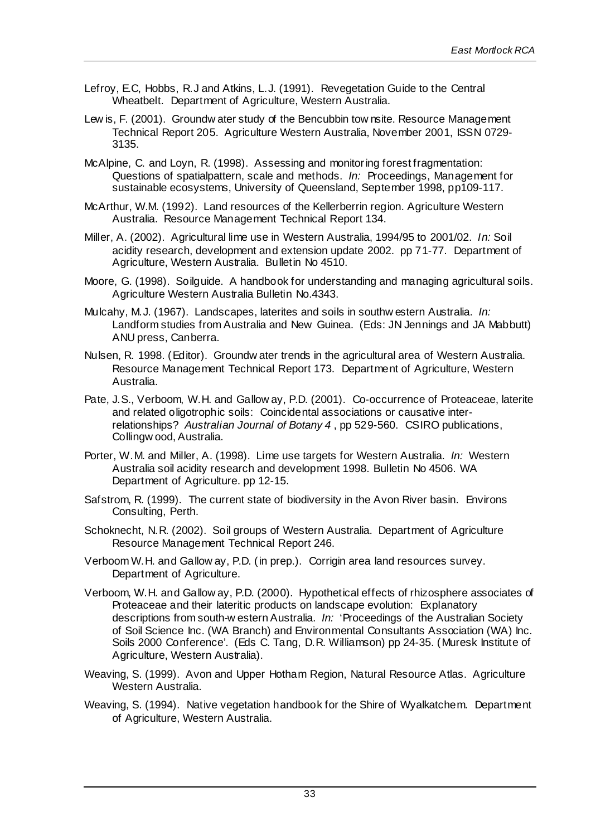- Lefroy, E.C, Hobbs, R.J and Atkins, L.J. (1991). Revegetation Guide to the Central Wheatbelt. Department of Agriculture, Western Australia.
- Lew is, F. (2001). Groundw ater study of the Bencubbin tow nsite. Resource Management Technical Report 205. Agriculture Western Australia, November 2001, ISSN 0729- 3135.
- McAlpine, C. and Loyn, R. (1998). Assessing and monitoring forest fragmentation: Questions of spatialpattern, scale and methods. *In:* Proceedings, Management for sustainable ecosystems, University of Queensland, September 1998, pp109-117.
- McArthur, W.M. (1992). Land resources of the Kellerberrin region. Agriculture Western Australia. Resource Management Technical Report 134.
- Miller, A. (2002). Agricultural lime use in Western Australia, 1994/95 to 2001/02. *In:* Soil acidity research, development and extension update 2002. pp 71-77. Department of Agriculture, Western Australia. Bulletin No 4510.
- Moore, G. (1998). Soilguide. A handbook for understanding and managing agricultural soils. Agriculture Western Australia Bulletin No.4343.
- Mulcahy, M.J. (1967). Landscapes, laterites and soils in southw estern Australia. *In:* Landform studies from Australia and New Guinea. (Eds: JN Jennings and JA Mabbutt) ANU press, Canberra.
- Nulsen, R. 1998. (Editor). Groundw ater trends in the agricultural area of Western Australia. Resource Management Technical Report 173. Department of Agriculture, Western Australia.
- Pate, J.S., Verboom, W.H. and Gallow ay, P.D. (2001). Co-occurrence of Proteaceae, laterite and related oligotrophic soils: Coincidental associations or causative interrelationships? *Australian Journal of Botany 4* , pp 529-560. CSIRO publications, Collingw ood, Australia.
- Porter, W.M. and Miller, A. (1998). Lime use targets for Western Australia. *In:* Western Australia soil acidity research and development 1998. Bulletin No 4506. WA Department of Agriculture. pp 12-15.
- Safstrom, R. (1999). The current state of biodiversity in the Avon River basin. Environs Consulting, Perth.
- Schoknecht, N.R. (2002). Soil groups of Western Australia. Department of Agriculture Resource Management Technical Report 246.
- Verboom W.H. and Gallow ay, P.D. (in prep.). Corrigin area land resources survey. Department of Agriculture.
- Verboom, W.H. and Gallow ay, P.D. (2000). Hypothetical effects of rhizosphere associates of Proteaceae and their lateritic products on landscape evolution: Explanatory descriptions from south-w estern Australia. *In:* 'Proceedings of the Australian Society of Soil Science Inc. (WA Branch) and Environmental Consultants Association (WA) Inc. Soils 2000 Conference'. (Eds C. Tang, D.R. Williamson) pp 24-35. (Muresk Institute of Agriculture, Western Australia).
- Weaving, S. (1999). Avon and Upper Hotham Region, Natural Resource Atlas. Agriculture Western Australia.
- Weaving, S. (1994). Native vegetation handbook for the Shire of Wyalkatchem. Department of Agriculture, Western Australia.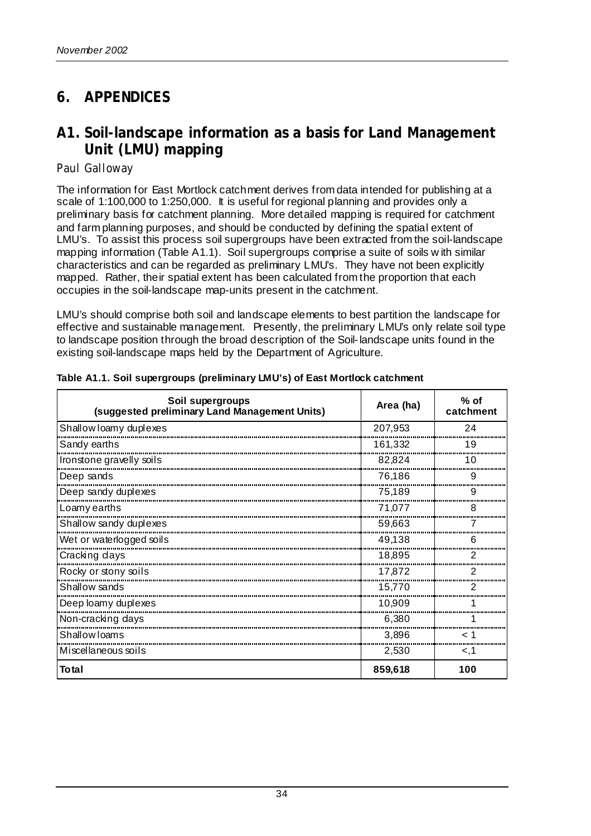## **6. APPENDICES**

## **A1. Soil-landscape information as a basis for Land Management Unit (LMU) mapping**

#### *Paul Galloway*

The information for East Mortlock catchment derives from data intended for publishing at a scale of 1:100,000 to 1:250,000. It is useful for regional planning and provides only a preliminary basis for catchment planning. More detailed mapping is required for catchment and farm planning purposes, and should be conducted by defining the spatial extent of LMU's. To assist this process soil supergroups have been extracted from the soil-landscape mapping information (Table A1.1). Soil supergroups comprise a suite of soils w ith similar characteristics and can be regarded as preliminary LMU's. They have not been explicitly mapped. Rather, their spatial extent has been calculated from the proportion that each occupies in the soil-landscape map-units present in the catchment.

LMU's should comprise both soil and landscape elements to best partition the landscape for effective and sustainable management. Presently, the preliminary LMU's only relate soil type to landscape position through the broad description of the Soil-landscape units found in the existing soil-landscape maps held by the Department of Agriculture.

| Soil supergroups<br>(suggested preliminary Land Management Units) | Area (ha) | $%$ of<br>catchment |
|-------------------------------------------------------------------|-----------|---------------------|
| Shallow loamy duplexes                                            | 207,953   | 24                  |
| Sandy earths                                                      | 161,332   | 19                  |
| Ironstone gravelly soils                                          | 82,824    | 10                  |
| Deep sands                                                        | 76,186    | 9                   |
| Deep sandy duplexes                                               | 75.189    | 9                   |
| Loamy earths                                                      | 71,077    | 8                   |
| Shallow sandy duplexes                                            | 59,663    |                     |
| Wet or waterlogged soils                                          | 49,138    |                     |
| Cracking days                                                     | 18,895    |                     |
| Rocky or stony soils                                              | 17,872    |                     |
| Shallow sands                                                     | 15,770    |                     |
| Deep loamy duplexes                                               | 10,909    |                     |
| Non-cracking days                                                 | 6,380     |                     |
| Shallow Ioams                                                     | 3,896     |                     |
| Miscellaneous soils                                               | 2,530     | < 1                 |
| <b>Total</b>                                                      | 859,618   | 100                 |

#### **Table A1.1. Soil supergroups (preliminary LMU's) of East Mortlock catchment**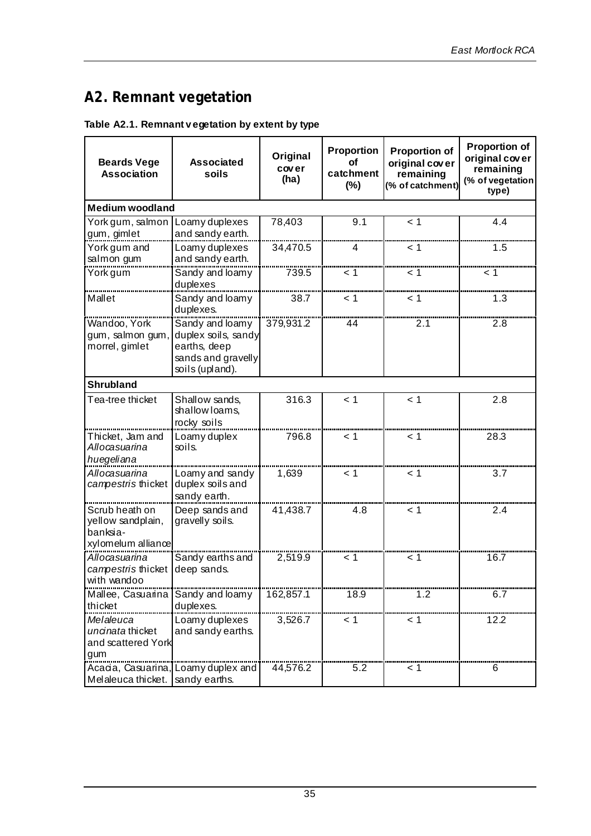## **A2. Remnant vegetation**

#### **Table A2.1. Remnant v egetation by extent by type**

| <b>Beards Vege</b><br><b>Association</b> | <b>Associated</b><br>soils          | Original<br>cover<br>(ha) | Proportion<br>Οf<br>catchment<br>$(\%)$ | <b>Proportion of</b><br>original cover<br>remaining<br>(% of catchment) | <b>Proportion of</b><br>original cover<br>remaining<br>(% of vegetation<br>type) |
|------------------------------------------|-------------------------------------|---------------------------|-----------------------------------------|-------------------------------------------------------------------------|----------------------------------------------------------------------------------|
| <b>Medium woodland</b>                   |                                     |                           |                                         |                                                                         |                                                                                  |
| York gum, salmon                         | Loamy duplexes                      | 78,403                    | 9.1                                     | < 1                                                                     | 4.4                                                                              |
| gum, gimlet                              | and sandy earth.                    |                           |                                         |                                                                         |                                                                                  |
| York gum and                             | Loamy duplexes                      | 34,470.5                  | 4                                       | 1 >                                                                     | 1.5                                                                              |
| salmon gum                               | and sandy earth.                    |                           |                                         |                                                                         |                                                                                  |
| York gum                                 | Sandy and loamy                     | 739.5                     | < 1                                     | < 1                                                                     | 1 >                                                                              |
| Mallet                                   | duplexes                            |                           | < 1                                     | < 1                                                                     | 1.3                                                                              |
|                                          | Sandy and loamy<br>duplexes.        | 38.7                      |                                         |                                                                         |                                                                                  |
| Wandoo, York                             | Sandy and loamy                     | 379,931.2                 | 44                                      | 2.1                                                                     | 2.8                                                                              |
| gum, salmon gum,                         | duplex soils, sandy                 |                           |                                         |                                                                         |                                                                                  |
| morrel, gimlet                           | earths, deep<br>sands and gravelly  |                           |                                         |                                                                         |                                                                                  |
|                                          | soils (upland).                     |                           |                                         |                                                                         |                                                                                  |
| <b>Shrubland</b>                         |                                     |                           |                                         |                                                                         |                                                                                  |
| Tea-tree thicket                         | Shallow sands,                      | 316.3                     | < 1                                     | < 1                                                                     | 2.8                                                                              |
|                                          | shallow loams,                      |                           |                                         |                                                                         |                                                                                  |
|                                          | rocky soils                         |                           |                                         |                                                                         |                                                                                  |
| Thicket, Jam and<br>Allocasuarina        | Loamy duplex<br>soils.              | 796.8                     | 1 >                                     | < 1                                                                     | 28.3                                                                             |
| huegeliana                               |                                     |                           |                                         |                                                                         |                                                                                  |
| Allocasuarina                            | Loamy and sandy                     | 1,639                     | < 1                                     | < 1                                                                     | 3.7                                                                              |
| campestris thicket                       | duplex soils and                    |                           |                                         |                                                                         |                                                                                  |
|                                          | sandy earth.                        |                           |                                         |                                                                         |                                                                                  |
| Scrub heath on                           | Deep sands and                      | 41,438.7                  | 4.8                                     | < 1                                                                     | 2.4                                                                              |
| yellow sandplain,<br>banksia-            | gravelly soils.                     |                           |                                         |                                                                         |                                                                                  |
| xylomelum alliance                       |                                     |                           |                                         |                                                                         |                                                                                  |
| Allocasuarina                            | Sandy earths and                    | 2,519.9                   | < 1                                     | - 1                                                                     | 16.7                                                                             |
| campestris thicket                       | deep sands.                         |                           |                                         |                                                                         |                                                                                  |
| with wandoo                              |                                     |                           |                                         |                                                                         |                                                                                  |
| Mallee, Casuarina                        | Sandy and loamy                     | 162,857.1                 | 18.9                                    | 1.2                                                                     | 6.7                                                                              |
| thicket                                  | duplexes.                           |                           |                                         |                                                                         |                                                                                  |
| Melaleuca                                | Loamy duplexes                      | 3,526.7                   | < 1                                     | < 1                                                                     | 12.2                                                                             |
| uncinata thicket                         | and sandy earths.                   |                           |                                         |                                                                         |                                                                                  |
| and scattered York<br>gum                |                                     |                           |                                         |                                                                         |                                                                                  |
|                                          | Acacia, Casuarina, Loamy duplex and | 44,576.2                  | 5.2                                     | < 1                                                                     | 6                                                                                |
| Melaleuca thicket.                       | sandy earths.                       |                           |                                         |                                                                         |                                                                                  |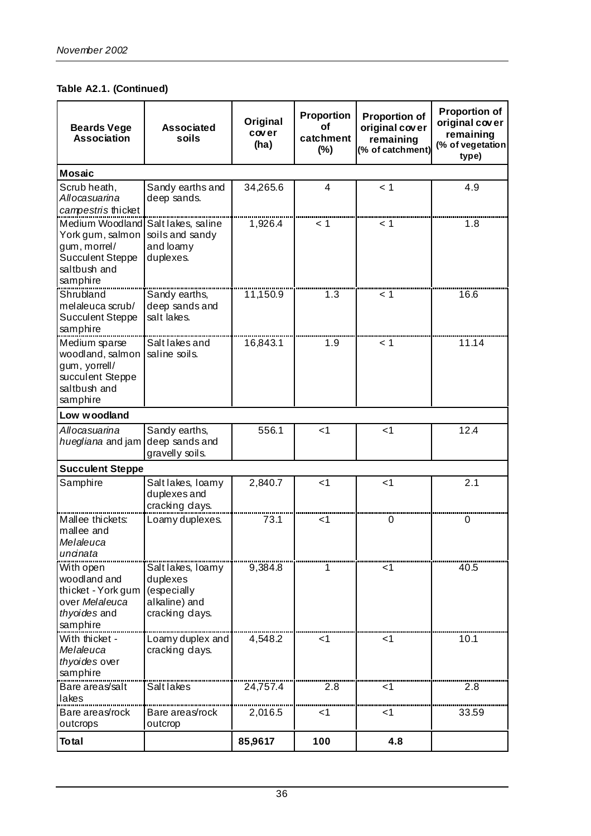**Table A2.1. (Continued)**

| <b>Beards Vege</b><br><b>Association</b>                                                                   | <b>Associated</b><br>soils                                                      | Original<br>cover<br>(ha) | Proportion<br>οf<br>catchment<br>$(\%)$ | <b>Proportion of</b><br>original cover<br>remaining<br>(% of catchment) | <b>Proportion of</b><br>original cover<br>remaining<br>(% of vegetation<br>type) |
|------------------------------------------------------------------------------------------------------------|---------------------------------------------------------------------------------|---------------------------|-----------------------------------------|-------------------------------------------------------------------------|----------------------------------------------------------------------------------|
| <b>Mosaic</b>                                                                                              |                                                                                 |                           |                                         |                                                                         |                                                                                  |
| Scrub heath,<br>Allocasuarina<br>campestris thicket                                                        | Sandy earths and<br>deep sands.                                                 | 34,265.6                  | 4                                       | < 1                                                                     | 4.9                                                                              |
| Medium Woodland<br>York gum, salmon<br>gum, morrel/<br><b>Succulent Steppe</b><br>saltbush and<br>samphire | Saltlakes, saline<br>soils and sandy<br>and loamy<br>duplexes.                  | 1,926.4                   | 1 >                                     | < 1                                                                     | 1.8                                                                              |
| Shrubland<br>melaleuca scrub/<br><b>Succulent Steppe</b><br>samphire                                       | Sandy earths,<br>deep sands and<br>salt lakes.                                  | 11,150.9                  | 1.3                                     | 1 >                                                                     | 16.6                                                                             |
| Medium sparse<br>woodland, salmon<br>gum, yorrell/<br>succulent Steppe<br>saltbush and<br>samphire         | Salt lakes and<br>saline soils.                                                 | 16,843.1                  | 1.9                                     | 1 >                                                                     | 11.14                                                                            |
| Low woodland                                                                                               |                                                                                 |                           |                                         |                                                                         |                                                                                  |
| Allocasuarina<br>huegliana and jam                                                                         | Sandy earths,<br>deep sands and<br>gravelly soils.                              | 556.1                     | $<$ 1                                   | $<$ 1                                                                   | 12.4                                                                             |
| <b>Succulent Steppe</b>                                                                                    |                                                                                 |                           |                                         |                                                                         |                                                                                  |
| Samphire                                                                                                   | Salt lakes, loamy<br>duplexes and<br>cracking days.                             | 2,840.7                   | $<$ 1                                   | $<$ 1                                                                   | 2.1                                                                              |
| Mallee thickets:<br>mallee and<br>Melaleuca<br>uncinata                                                    | Loamy duplexes.                                                                 | 73.1                      | ا>                                      | 0                                                                       | 0                                                                                |
| With open<br>woodland and<br>thicket - York gum<br>over Melaleuca<br>thyoides and<br>samphire              | Salt lakes, loamy<br>duplexes<br>(especially<br>alkaline) and<br>cracking days. | 9,384.8                   |                                         | ا>                                                                      | 40.5                                                                             |
| With thicket -<br>Melaleuca<br>thyoides over<br>samphire                                                   | Loamy duplex and<br>cracking days.                                              | 4,548.2                   | <1                                      | ا>                                                                      | 10.1                                                                             |
| Bare areas/salt                                                                                            | Salt lakes                                                                      | 24,757.4                  | 2.8                                     | $<$ 1                                                                   | 2.8                                                                              |
| lakes<br>Bare areas/rock<br>outcrops                                                                       | Bare areas/rock<br>outcrop                                                      | 2,016.5                   | <1                                      | <1                                                                      | 33.59                                                                            |
| <b>Total</b>                                                                                               |                                                                                 | 85,9617                   | 100                                     | 4.8                                                                     |                                                                                  |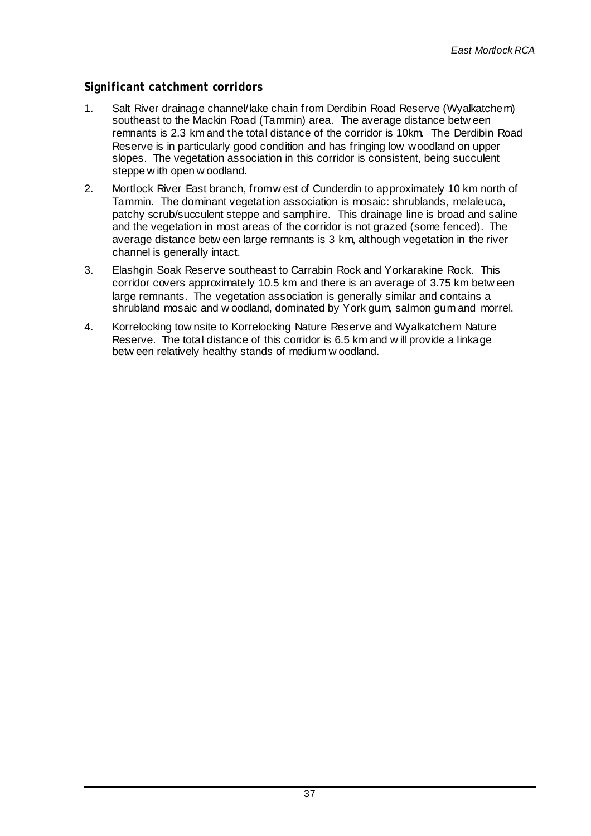#### *Significant catchment corridors*

- 1. Salt River drainage channel/lake chain from Derdibin Road Reserve (Wyalkatchem) southeast to the Mackin Road (Tammin) area. The average distance betw een remnants is 2.3 km and the total distance of the corridor is 10km. The Derdibin Road Reserve is in particularly good condition and has fringing low woodland on upper slopes. The vegetation association in this corridor is consistent, being succulent steppe w ith open w oodland.
- 2. Mortlock River East branch, from w est of Cunderdin to approximately 10 km north of Tammin. The dominant vegetation association is mosaic: shrublands, melaleuca, patchy scrub/succulent steppe and samphire. This drainage line is broad and saline and the vegetation in most areas of the corridor is not grazed (some fenced). The average distance betw een large remnants is 3 km, although vegetation in the river channel is generally intact.
- 3. Elashgin Soak Reserve southeast to Carrabin Rock and Yorkarakine Rock. This corridor covers approximately 10.5 km and there is an average of 3.75 km betw een large remnants. The vegetation association is generally similar and contains a shrubland mosaic and w oodland, dominated by York gum, salmon gum and morrel.
- 4. Korrelocking tow nsite to Korrelocking Nature Reserve and Wyalkatchem Nature Reserve. The total distance of this corridor is 6.5 km and w ill provide a linkage betw een relatively healthy stands of medium w oodland.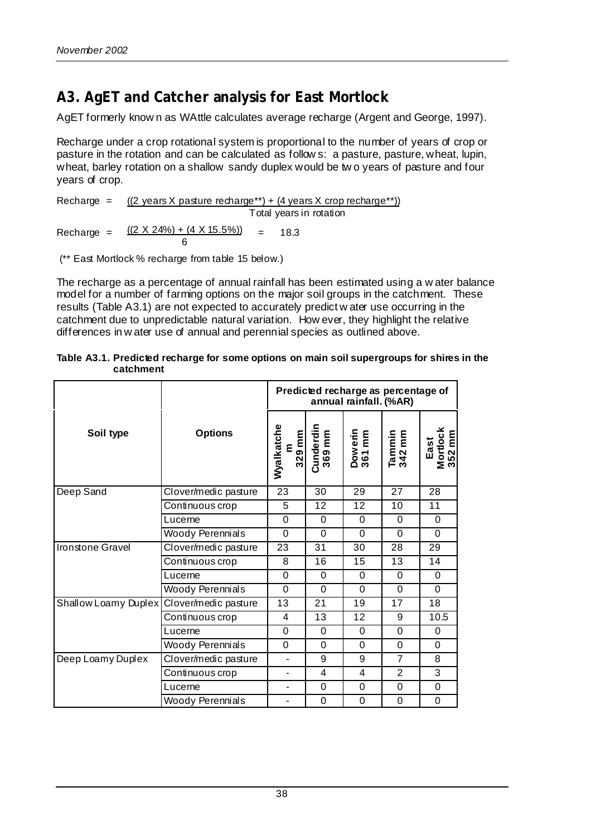## **A3. AgET and Catcher analysis for East Mortlock**

AgET formerly know n as WAttle calculates average recharge (Argent and George, 1997).

Recharge under a crop rotational system is proportional to the number of years of crop or pasture in the rotation and can be calculated as follow s: a pasture, pasture, wheat, lupin, wheat, barley rotation on a shallow sandy duplex would be tw o years of pasture and four years of crop.

Recharge =  $((2 \text{ years} X \text{ pause recharge**}) + (4 \text{ years} X \text{ crop recharge**}))$ Total years in rotation Recharge =  $((2 \times 24\%) + (4 \times 15.5\%)$  $\overline{6}$  $= 18.3$ 

(\*\* East Mortlock % recharge from table 15 below.)

The recharge as a percentage of annual rainfall has been estimated using a w ater balance model for a number of farming options on the major soil groups in the catchment. These results (Table A3.1) are not expected to accurately predict w ater use occurring in the catchment due to unpredictable natural variation. How ever, they highlight the relative differences in w ater use of annual and perennial species as outlined above.

|                      |                      | Predicted recharge as percentage of<br>annual rainfall. (%AR) |                     |                   |                  |                            |  |  |
|----------------------|----------------------|---------------------------------------------------------------|---------------------|-------------------|------------------|----------------------------|--|--|
| Soil type            | <b>Options</b>       | Wyalkatche<br>m<br>329 mm                                     | Cunderdin<br>369 mm | Dowerin<br>361 mm | Tammin<br>342 mm | Mortlock<br>352 mm<br>East |  |  |
| Deep Sand            | Clover/medic pasture | 23                                                            | 30                  | 29                | 27               | 28                         |  |  |
|                      | Continuous crop      | 5                                                             | 12                  | 12                | 10               | 11                         |  |  |
|                      | Lucerne              | $\overline{0}$                                                | $\mathbf 0$         | $\Omega$          | $\mathbf 0$      | $\Omega$                   |  |  |
|                      | Woody Perennials     | $\Omega$                                                      | $\Omega$            | $\Omega$          | $\Omega$         | $\Omega$                   |  |  |
| Ironstone Gravel     | Clover/medic pasture | 23                                                            | 31                  | 30                | 28               | 29                         |  |  |
|                      | Continuous crop      | 8                                                             | 16                  | 15                | 13               | 14                         |  |  |
|                      | Lucerne              | $\Omega$                                                      | 0                   | 0                 | 0                | 0                          |  |  |
|                      | Woody Perennials     | $\Omega$                                                      | $\Omega$            | $\Omega$          | $\Omega$         | 0                          |  |  |
| Shallow Loamy Duplex | Clover/medic pasture | 13                                                            | 21                  | 19                | 17               | 18                         |  |  |
|                      | Continuous crop      | 4                                                             | 13                  | 12                | 9                | 10.5                       |  |  |
|                      | Lucerne              | $\Omega$                                                      | $\Omega$            | $\Omega$          | $\Omega$         | $\Omega$                   |  |  |
|                      | Woody Perennials     | 0                                                             | 0                   | $\Omega$          | $\mathbf 0$      | 0                          |  |  |
| Deep Loamy Duplex    | Clover/medic pasture | $\overline{\phantom{0}}$                                      | 9                   | 9                 | $\overline{7}$   | 8                          |  |  |
|                      | Continuous crop      | ÷.                                                            | 4                   | 4                 | $\overline{2}$   | 3                          |  |  |
|                      | Lucerne              | ٠                                                             | $\Omega$            | $\Omega$          | $\Omega$         | $\Omega$                   |  |  |
|                      | Woody Perennials     | ÷.                                                            | 0                   | $\Omega$          | 0                | 0                          |  |  |

| Table A3.1. Predicted recharge for some options on main soil supergroups for shires in the |  |  |
|--------------------------------------------------------------------------------------------|--|--|
| catchment                                                                                  |  |  |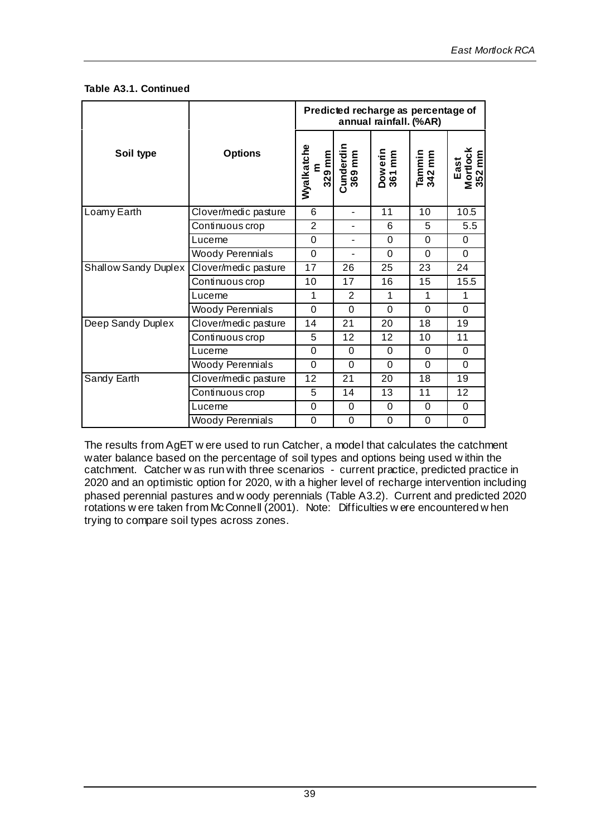**Table A3.1. Continued**

|                             |                      | Predicted recharge as percentage of<br>annual rainfall. (%AR) |                                    |                   |                  |                            |  |  |
|-----------------------------|----------------------|---------------------------------------------------------------|------------------------------------|-------------------|------------------|----------------------------|--|--|
| Soil type                   | <b>Options</b>       | Wyalkatche                                                    | m<br>329 mm<br>Cunderdin<br>369 mm | Dowerin<br>361 mm | Tammin<br>342 mm | East<br>Mortlock<br>352 mm |  |  |
| Loamy Earth                 | Clover/medic pasture | 6                                                             | $\overline{a}$                     | 11                | 10               | 10.5                       |  |  |
|                             | Continuous crop      | 2                                                             | $\blacksquare$                     | 6                 | 5                | 5.5                        |  |  |
|                             | Lucerne              | $\Omega$                                                      | $\blacksquare$                     | $\Omega$          | $\overline{0}$   | $\Omega$                   |  |  |
|                             | Woody Perennials     | $\overline{0}$                                                | $\blacksquare$                     | 0                 | $\overline{0}$   | $\Omega$                   |  |  |
| <b>Shallow Sandy Duplex</b> | Clover/medic pasture | 17                                                            | 26                                 | 25                | 23               | 24                         |  |  |
|                             | Continuous crop      | 10                                                            | 17                                 | 16                | 15               | 15.5                       |  |  |
|                             | Lucerne              | 1                                                             | $\overline{2}$                     | 1                 | 1                | 1                          |  |  |
|                             | Woody Perennials     | $\Omega$                                                      | $\Omega$                           | $\Omega$          | $\Omega$         | $\Omega$                   |  |  |
| Deep Sandy Duplex           | Clover/medic pasture | 14                                                            | 21                                 | 20                | 18               | 19                         |  |  |
|                             | Continuous crop      | 5                                                             | 12                                 | 12                | 10               | 11                         |  |  |
|                             | Lucerne              | $\Omega$                                                      | $\Omega$                           | $\Omega$          | $\Omega$         | 0                          |  |  |
| Woody Perennials            |                      | $\Omega$                                                      | $\Omega$                           | $\Omega$          | $\Omega$         | $\Omega$                   |  |  |
| Sandy Earth                 | Clover/medic pasture | 12                                                            | 21                                 | 20                | 18               | 19                         |  |  |
|                             | Continuous crop      | 5                                                             | 14                                 | 13                | 11               | 12                         |  |  |
|                             | Lucerne              | $\mathbf 0$                                                   | $\mathbf 0$                        | $\mathbf 0$       | $\mathbf 0$      | $\Omega$                   |  |  |
|                             | Woody Perennials     | 0                                                             | $\mathbf 0$                        | 0                 | $\mathbf 0$      | 0                          |  |  |

The results from AgET w ere used to run Catcher, a model that calculates the catchment water balance based on the percentage of soil types and options being used w ithin the catchment. Catcher w as run with three scenarios - current practice, predicted practice in 2020 and an optimistic option for 2020, w ith a higher level of recharge intervention including phased perennial pastures and w oody perennials (Table A3.2). Current and predicted 2020 rotations w ere taken from McConnell (2001). Note: Difficulties w ere encountered w hen trying to compare soil types across zones.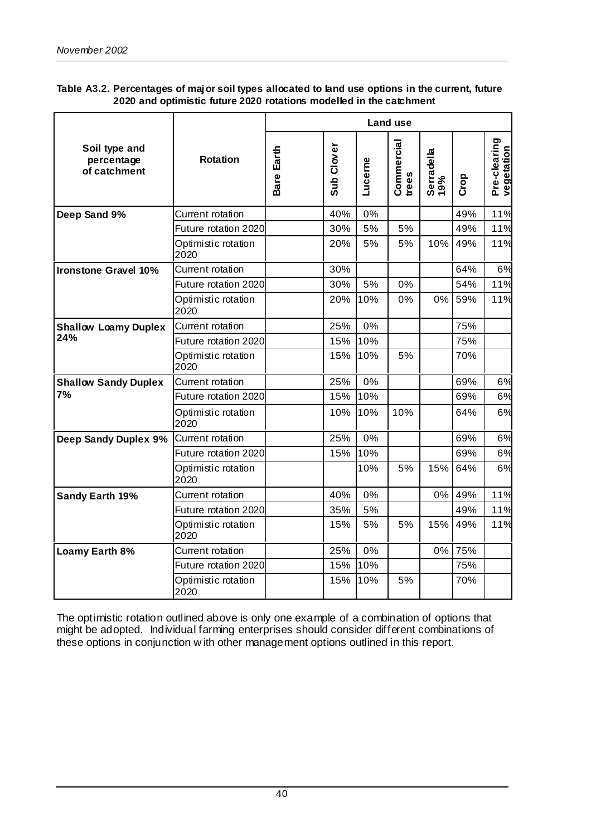| Table A3.2. Percentages of major soil types allocated to land use options in the current, future |
|--------------------------------------------------------------------------------------------------|
| 2020 and optimistic future 2020 rotations modelled in the catchment                              |

|                                             |                             | Land use   |            |         |                     |                   |      |                            |
|---------------------------------------------|-----------------------------|------------|------------|---------|---------------------|-------------------|------|----------------------------|
| Soil type and<br>percentage<br>of catchment | <b>Rotation</b>             | Bare Earth | Sub Clover | Lucerne | Commercial<br>trees | Serradella<br>19% | Crop | Pre-clearing<br>vegetation |
| Deep Sand 9%                                | Current rotation            |            | 40%        | 0%      |                     |                   | 49%  | 11%                        |
|                                             | Future rotation 2020        |            | 30%        | 5%      | 5%                  |                   | 49%  | 11%                        |
|                                             | Optimistic rotation<br>2020 |            | 20%        | 5%      | 5%                  | 10%               | 49%  | 11%                        |
| <b>Ironstone Gravel 10%</b>                 | Current rotation            |            | 30%        |         |                     |                   | 64%  | 6%                         |
|                                             | Future rotation 2020        |            | 30%        | 5%      | 0%                  |                   | 54%  | 11%                        |
|                                             | Optimistic rotation<br>2020 |            | 20%        | 10%     | 0%                  | $0\%$             | 59%  | 11%                        |
| <b>Shallow Loamy Duplex</b>                 | Current rotation            |            | 25%        | 0%      |                     |                   | 75%  |                            |
| 24%                                         | Future rotation 2020        |            | 15%        | 10%     |                     |                   | 75%  |                            |
|                                             | Optimistic rotation<br>2020 |            | 15%        | 10%     | 5%                  |                   | 70%  |                            |
| <b>Shallow Sandy Duplex</b>                 | Current rotation            |            | 25%        | 0%      |                     |                   | 69%  | 6%                         |
| 7%                                          | Future rotation 2020        |            | 15%        | 10%     |                     |                   | 69%  | 6%                         |
|                                             | Optimistic rotation<br>2020 |            | 10%        | 10%     | 10%                 |                   | 64%  | 6%                         |
| Deep Sandy Duplex 9%                        | Current rotation            |            | 25%        | 0%      |                     |                   | 69%  | 6%                         |
|                                             | Future rotation 2020        |            | 15%        | 10%     |                     |                   | 69%  | 6%                         |
|                                             | Optimistic rotation<br>2020 |            |            | 10%     | 5%                  | 15%               | 64%  | 6%                         |
| Sandy Earth 19%                             | Current rotation            |            | 40%        | 0%      |                     | $0\%$             | 49%  | 11%                        |
|                                             | Future rotation 2020        |            | 35%        | 5%      |                     |                   | 49%  | 11%                        |
|                                             | Optimistic rotation<br>2020 |            | 15%        | 5%      | 5%                  | 15%               | 49%  | 11%                        |
| Loamy Earth 8%                              | Current rotation            |            | 25%        | 0%      |                     | $0\%$             | 75%  |                            |
|                                             | Future rotation 2020        |            | 15%        | 10%     |                     |                   | 75%  |                            |
|                                             | Optimistic rotation<br>2020 |            | 15%        | 10%     | 5%                  |                   | 70%  |                            |

The optimistic rotation outlined above is only one example of a combination of options that might be adopted. Individual farming enterprises should consider different combinations of these options in conjunction w ith other management options outlined in this report.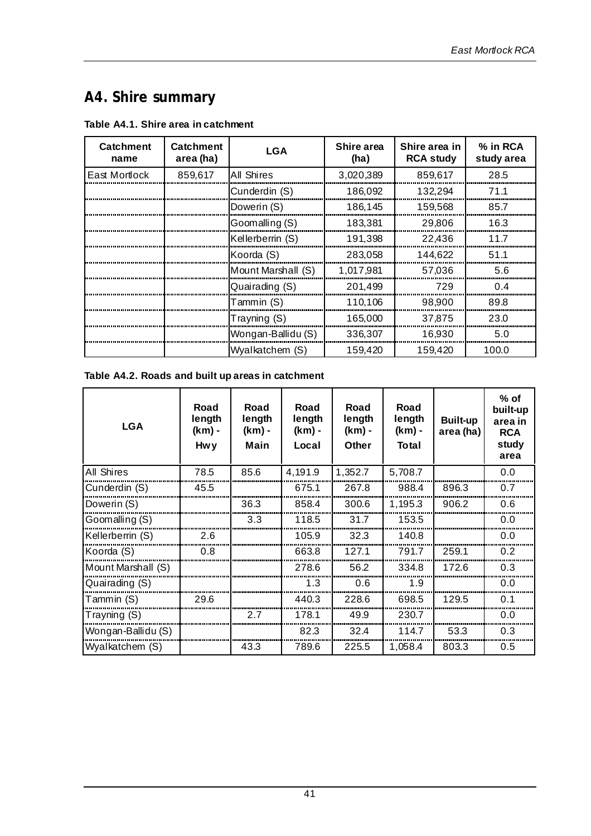## **A4. Shire summary**

|  |  | Table A4.1. Shire area in catchment |
|--|--|-------------------------------------|
|--|--|-------------------------------------|

| <b>Catchment</b><br>name | <b>Catchment</b><br>area (ha) | <b>LGA</b>         | Shire area<br>(ha) | Shire area in<br><b>RCA study</b> | % in RCA<br>study area |
|--------------------------|-------------------------------|--------------------|--------------------|-----------------------------------|------------------------|
| East Mortlock            | 859,617                       | All Shires         | 3,020,389          | 859,617                           | 28.5                   |
|                          |                               | Cunderdin (S)      | 186,092            | 132.294                           | 71.1                   |
|                          |                               | Dowerin (S)        | 186,145            | 159,568                           | 85.7                   |
|                          |                               | Goomalling (S)     | 183.381            | 29,806                            | 16.3                   |
|                          |                               | Kellerberrin (S)   | 191,398            | 22.436                            | 117                    |
|                          |                               | Koorda (S)         | 283,058            | 144.622                           | 51.1                   |
|                          |                               | Mount Marshall (S) | 1.017.981          | 57.036                            | 5.6                    |
|                          |                               | Quairading (S)     | 201,499            | 729                               | ሰ 4                    |
|                          |                               | Tammin (S)         | 110.106            | 98,900                            | 89.8                   |
|                          |                               | Trayning (S)       | 165,000            | 37.875                            | 23.0                   |
|                          |                               | Wongan-Ballidu (S) | 336,307            | 16,930                            | 5.0                    |
|                          |                               | Wyalkatchem (S)    | 159.420            | 159.420                           | 100.0                  |

#### **Table A4.2. Roads and built up areas in catchment**

| <b>LGA</b>         | Road<br>length<br>(km) -<br><b>Hwy</b> | Road<br>length<br>(km) -<br>Main | Road<br>length<br>(km) -<br>Local | Road<br>length<br>(km) -<br>Other | Road<br>length<br>(km) -<br><b>Total</b> | <b>Built-up</b><br>area (ha) | $%$ of<br>built-up<br>area in<br><b>RCA</b><br>study<br>area |
|--------------------|----------------------------------------|----------------------------------|-----------------------------------|-----------------------------------|------------------------------------------|------------------------------|--------------------------------------------------------------|
| All Shires         | 78.5                                   | 85.6                             | 4,191.9                           | 1,352.7                           | 5,708.7                                  |                              | 0.0                                                          |
| Cunderdin (S)      | 45.5                                   |                                  | 675.1                             | 267.8                             | 988.4                                    | 896.3                        | 0.7                                                          |
| Dowerin (S)        |                                        | 36.3                             | 858.4                             | 300.6                             | 1,195.3                                  | 906.2                        | 0.6                                                          |
| Goomalling (S)     |                                        | 3.3                              | 118.5                             | 31.7                              | 153.5                                    |                              | 0.0                                                          |
| Kellerberrin (S)   | 2.6                                    |                                  | 105.9                             | 32.3                              | 140.8                                    |                              | 0.0                                                          |
| Koorda (S)         | 0.8                                    |                                  | 663.8                             | 127.1                             | 791.7                                    | 259.1                        | 0.2                                                          |
| Mount Marshall (S) |                                        |                                  | 278.6                             | 56.2                              | 334.8                                    | 172.6                        | 0.3                                                          |
| Quairading (S)     |                                        |                                  | 1.3                               | 0.6                               | 1.9                                      |                              | 0.0                                                          |
| Tammin (S)         | 29.6                                   |                                  | 440.3                             | 228.6                             | 698.5                                    | 129.5                        | 0.1                                                          |
| Trayning (S)       |                                        | 2.7                              | 178.1                             | 49.9                              | 230.7                                    |                              | 0.0                                                          |
| Wongan-Ballidu (S) |                                        |                                  | 82.3                              | 32.4                              | 114.7                                    | 53.3                         | 0.3                                                          |
| Wyalkatchem (S)    |                                        | 43.3                             | 789.6                             | 225.5                             | 1,058.4                                  | 803.3                        | 0.5                                                          |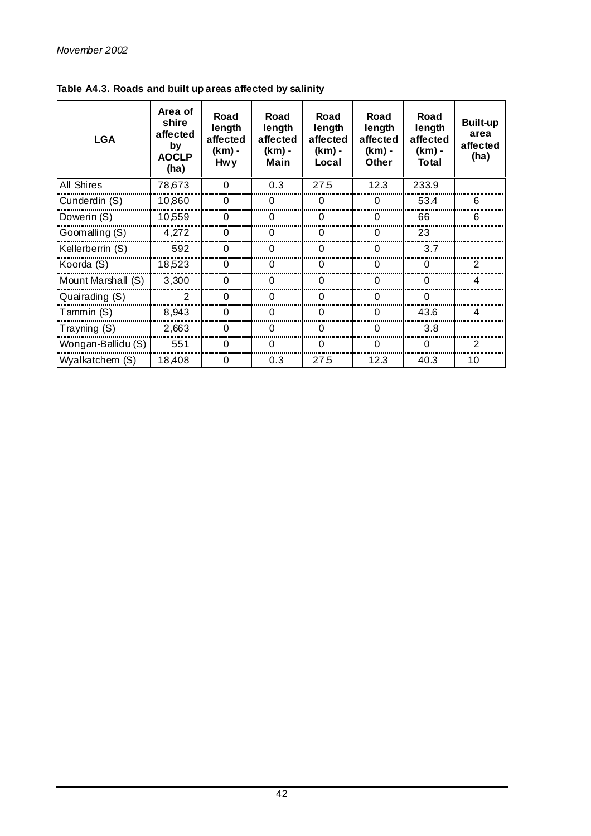| <b>LGA</b>         | Area of<br>shire<br>affected<br>by<br><b>AOCLP</b><br>(ha) | Road<br>length<br>affected<br>(km) -<br>Hw y | Road<br>length<br>affected<br>(km) -<br>Main | Road<br>length<br>affected<br>(km) -<br>Local | Road<br>length<br>affected<br>(km) -<br><b>Other</b> | Road<br>length<br>affected<br>(km) -<br>Total | <b>Built-up</b><br>area<br>affected<br>(ha) |
|--------------------|------------------------------------------------------------|----------------------------------------------|----------------------------------------------|-----------------------------------------------|------------------------------------------------------|-----------------------------------------------|---------------------------------------------|
| All Shires         | 78,673                                                     | O                                            | 0.3                                          | 27.5                                          | 12.3                                                 | 233.9                                         |                                             |
| Cunderdin (S)      | 10,860                                                     | 0                                            | 0                                            | O                                             | O                                                    | 53.4                                          | 6                                           |
| Dowerin (S)        | 10,559                                                     | O                                            | O                                            | O                                             | ∩                                                    | 66                                            | ิค                                          |
| Goomalling (S)     | 4,272                                                      | O                                            |                                              |                                               | O                                                    | 23                                            |                                             |
| Kellerberrin (S)   | 592                                                        |                                              |                                              |                                               |                                                      | 3.7                                           |                                             |
| Koorda (S)         | 18,523                                                     | $\mathbf{\Omega}$                            |                                              | O                                             | 0                                                    | O                                             | 2                                           |
| Mount Marshall (S) | 3,300                                                      | O                                            |                                              | O                                             | O                                                    | O                                             |                                             |
| Quairading (S)     | $\mathcal{P}$                                              |                                              |                                              |                                               |                                                      |                                               |                                             |
| Tammin (S)         | 8,943                                                      |                                              |                                              |                                               |                                                      | 43.6                                          |                                             |
| Trayning (S)       | 2,663                                                      | $\mathbf{0}$                                 | $\mathbf{O}$                                 | 0                                             | 0                                                    | 3.8                                           |                                             |
| Wongan-Ballidu (S) | 551                                                        | ∩                                            |                                              | ∩                                             | ∩                                                    | ∩                                             | 2                                           |
| Wyalkatchem (S)    | 18,408                                                     | 0                                            | 0.3                                          | 27.5                                          | 12.3                                                 | 40.3                                          | 10                                          |

**Table A4.3. Roads and built up areas affected by salinity**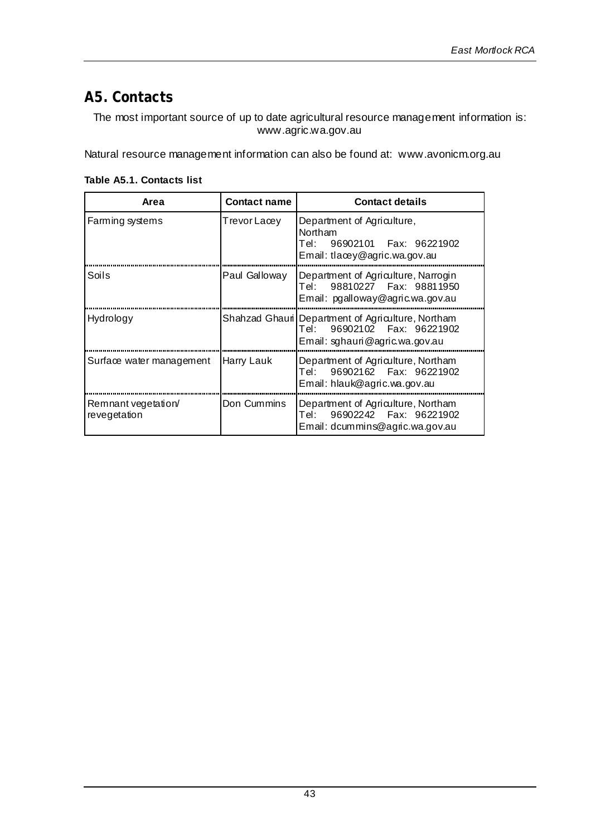## **A5. Contacts**

The most important source of up to date agricultural resource management information is: www.agric.wa.gov.au

Natural resource management information can also be found at: www.avonicm.org.au

| Area                               | <b>Contact name</b> | <b>Contact details</b>                                                                                             |
|------------------------------------|---------------------|--------------------------------------------------------------------------------------------------------------------|
| Farming systems                    | TrevorLacey         | Department of Agriculture,<br>Northam<br>Tel: 96902101    Fax: 96221902<br>Email: tlacey@agric.wa.gov.au           |
| Soils                              | Paul Galloway       | Department of Agriculture, Narrogin<br>Tel: 98810227    Fax: 98811950<br>Email: pgalloway@agric.wa.gov.au          |
| Hydrology                          |                     | Shahzad Ghauri Department of Agriculture, Northam<br>Tel: 96902102 Fax: 96221902<br>Email: sghauri@agric.wa.gov.au |
| Surface water management           | Harry Lauk          | Department of Agriculture, Northam<br>Tel: 96902162 Fax: 96221902<br>Email: hlauk@agric.wa.gov.au                  |
| Remnant vegetation<br>revegetation | Don Cummins         | Department of Agriculture, Northam<br>Email: dcummins@agric.wa.gov.au                                              |

**Table A5.1. Contacts list**